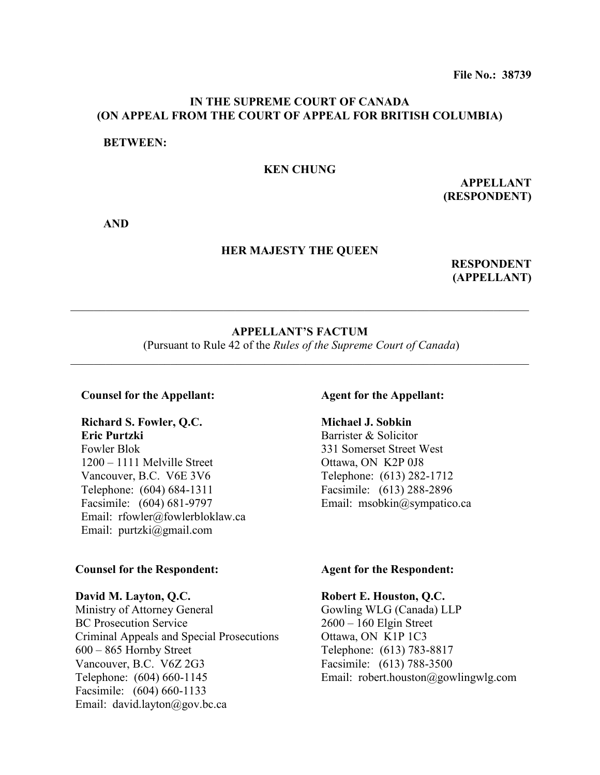## **IN THE SUPREME COURT OF CANADA (ON APPEAL FROM THE COURT OF APPEAL FOR BRITISH COLUMBIA)**

#### **BETWEEN:**

#### **KEN CHUNG**

**APPELLANT (RESPONDENT)**

**AND**

#### **HER MAJESTY THE QUEEN**

**RESPONDENT (APPELLANT)**

#### **APPELLANT'S FACTUM**

 $\mathcal{L}_\mathcal{L} = \mathcal{L}_\mathcal{L} = \mathcal{L}_\mathcal{L} = \mathcal{L}_\mathcal{L} = \mathcal{L}_\mathcal{L} = \mathcal{L}_\mathcal{L} = \mathcal{L}_\mathcal{L} = \mathcal{L}_\mathcal{L} = \mathcal{L}_\mathcal{L} = \mathcal{L}_\mathcal{L} = \mathcal{L}_\mathcal{L} = \mathcal{L}_\mathcal{L} = \mathcal{L}_\mathcal{L} = \mathcal{L}_\mathcal{L} = \mathcal{L}_\mathcal{L} = \mathcal{L}_\mathcal{L} = \mathcal{L}_\mathcal{L}$ 

(Pursuant to Rule 42 of the *Rules of the Supreme Court of Canada*) \_\_\_\_\_\_\_\_\_\_\_\_\_\_\_\_\_\_\_\_\_\_\_\_\_\_\_\_\_\_\_\_\_\_\_\_\_\_\_\_\_\_\_\_\_\_\_\_\_\_\_\_\_\_\_\_\_\_\_\_\_\_\_\_\_\_\_\_\_\_\_\_\_\_\_\_\_\_

#### **Counsel for the Appellant:**

## **Richard S. Fowler, Q.C. Eric Purtzki**

Fowler Blok 1200 – 1111 Melville Street Vancouver, B.C. V6E 3V6 Telephone: (604) 684-1311 Facsimile: (604) 681-9797 Email: rfowler@fowlerbloklaw.ca Email: purtzki@gmail.com

#### **Counsel for the Respondent:**

#### **David M. Layton, Q.C.**

Ministry of Attorney General BC Prosecution Service Criminal Appeals and Special Prosecutions 600 – 865 Hornby Street Vancouver, B.C. V6Z 2G3 Telephone: (604) 660-1145 Facsimile: (604) 660-1133 Email: david.layton@gov.bc.ca

#### **Agent for the Appellant:**

## **Michael J. Sobkin**

Barrister & Solicitor 331 Somerset Street West Ottawa, ON K2P 0J8 Telephone: (613) 282-1712 Facsimile: (613) 288-2896 Email: msobkin@sympatico.ca

#### **Agent for the Respondent:**

#### **Robert E. Houston, Q.C.**

Gowling WLG (Canada) LLP 2600 – 160 Elgin Street Ottawa, ON K1P 1C3 Telephone: (613) 783-8817 Facsimile: (613) 788-3500 Email: robert.houston@gowlingwlg.com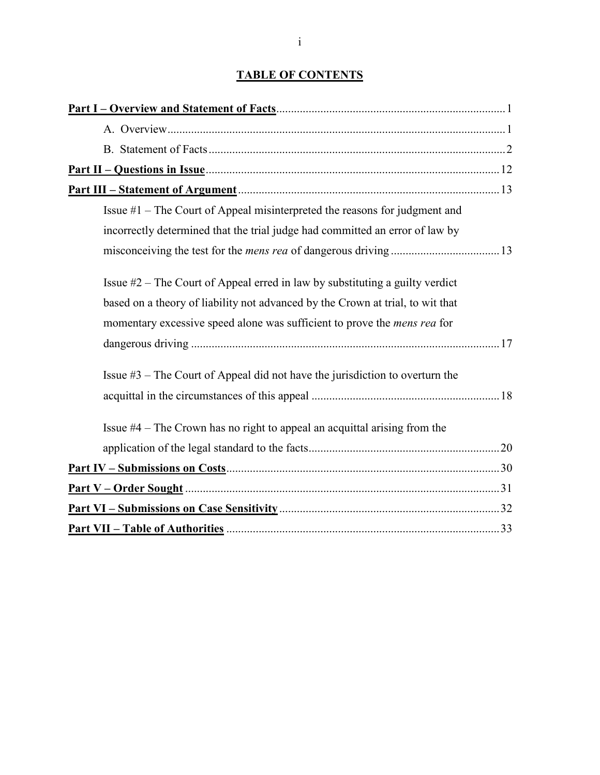# **TABLE OF CONTENTS**

| Issue $#1$ – The Court of Appeal misinterpreted the reasons for judgment and    |
|---------------------------------------------------------------------------------|
| incorrectly determined that the trial judge had committed an error of law by    |
|                                                                                 |
| Issue $#2$ – The Court of Appeal erred in law by substituting a guilty verdict  |
| based on a theory of liability not advanced by the Crown at trial, to wit that  |
| momentary excessive speed alone was sufficient to prove the <i>mens rea</i> for |
|                                                                                 |
| Issue $#3$ – The Court of Appeal did not have the jurisdiction to overturn the  |
|                                                                                 |
| Issue $#4$ – The Crown has no right to appeal an acquittal arising from the     |
|                                                                                 |
|                                                                                 |
|                                                                                 |
|                                                                                 |
|                                                                                 |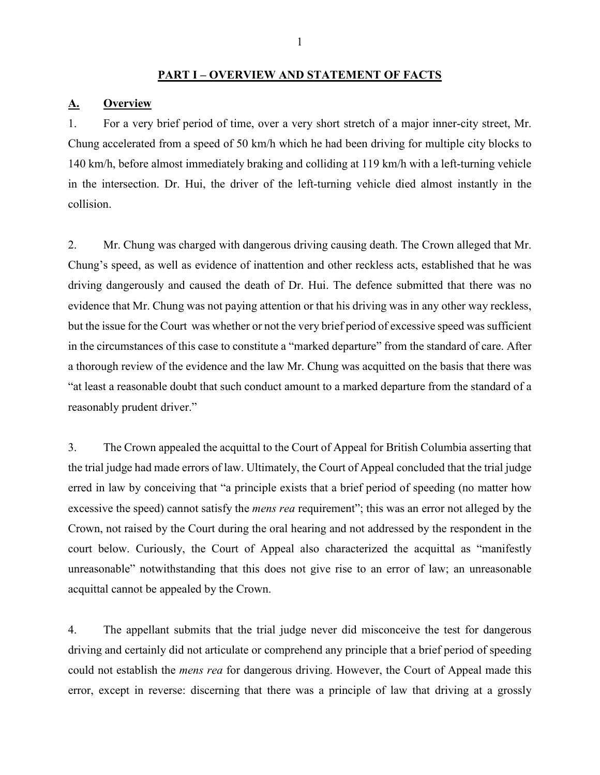### **PART I – OVERVIEW AND STATEMENT OF FACTS**

#### **A. Overview**

1. For a very brief period of time, over a very short stretch of a major inner-city street, Mr. Chung accelerated from a speed of 50 km/h which he had been driving for multiple city blocks to 140 km/h, before almost immediately braking and colliding at 119 km/h with a left-turning vehicle in the intersection. Dr. Hui, the driver of the left-turning vehicle died almost instantly in the collision.

2. Mr. Chung was charged with dangerous driving causing death. The Crown alleged that Mr. Chung's speed, as well as evidence of inattention and other reckless acts, established that he was driving dangerously and caused the death of Dr. Hui. The defence submitted that there was no evidence that Mr. Chung was not paying attention or that his driving was in any other way reckless, but the issue for the Court was whether or not the very brief period of excessive speed was sufficient in the circumstances of this case to constitute a "marked departure" from the standard of care. After a thorough review of the evidence and the law Mr. Chung was acquitted on the basis that there was "at least a reasonable doubt that such conduct amount to a marked departure from the standard of a reasonably prudent driver."

3. The Crown appealed the acquittal to the Court of Appeal for British Columbia asserting that the trial judge had made errors of law. Ultimately, the Court of Appeal concluded that the trial judge erred in law by conceiving that "a principle exists that a brief period of speeding (no matter how excessive the speed) cannot satisfy the *mens rea* requirement"; this was an error not alleged by the Crown, not raised by the Court during the oral hearing and not addressed by the respondent in the court below. Curiously, the Court of Appeal also characterized the acquittal as "manifestly unreasonable" notwithstanding that this does not give rise to an error of law; an unreasonable acquittal cannot be appealed by the Crown.

4. The appellant submits that the trial judge never did misconceive the test for dangerous driving and certainly did not articulate or comprehend any principle that a brief period of speeding could not establish the *mens rea* for dangerous driving. However, the Court of Appeal made this error, except in reverse: discerning that there was a principle of law that driving at a grossly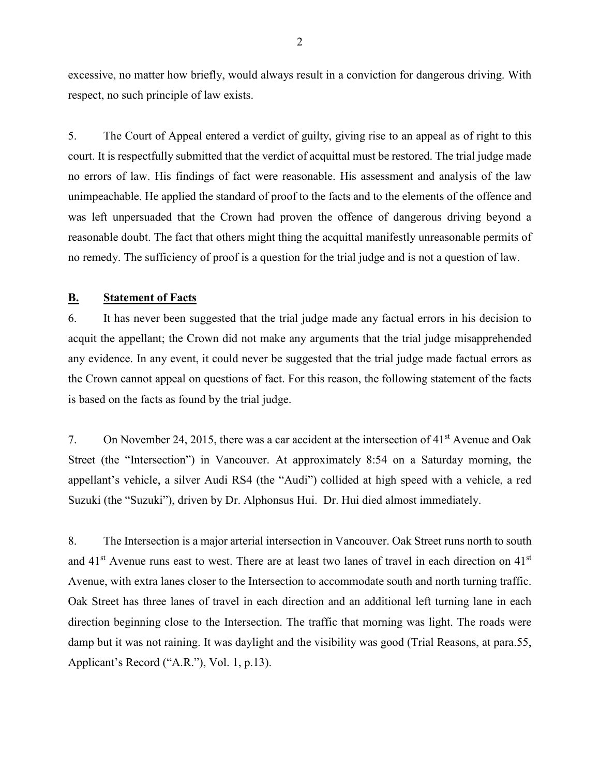excessive, no matter how briefly, would always result in a conviction for dangerous driving. With respect, no such principle of law exists.

5. The Court of Appeal entered a verdict of guilty, giving rise to an appeal as of right to this court. It is respectfully submitted that the verdict of acquittal must be restored. The trial judge made no errors of law. His findings of fact were reasonable. His assessment and analysis of the law unimpeachable. He applied the standard of proof to the facts and to the elements of the offence and was left unpersuaded that the Crown had proven the offence of dangerous driving beyond a reasonable doubt. The fact that others might thing the acquittal manifestly unreasonable permits of no remedy. The sufficiency of proof is a question for the trial judge and is not a question of law.

### **B. Statement of Facts**

6. It has never been suggested that the trial judge made any factual errors in his decision to acquit the appellant; the Crown did not make any arguments that the trial judge misapprehended any evidence. In any event, it could never be suggested that the trial judge made factual errors as the Crown cannot appeal on questions of fact. For this reason, the following statement of the facts is based on the facts as found by the trial judge.

7. On November 24, 2015, there was a car accident at the intersection of 41<sup>st</sup> Avenue and Oak Street (the "Intersection") in Vancouver. At approximately 8:54 on a Saturday morning, the appellant's vehicle, a silver Audi RS4 (the "Audi") collided at high speed with a vehicle, a red Suzuki (the "Suzuki"), driven by Dr. Alphonsus Hui. Dr. Hui died almost immediately.

8. The Intersection is a major arterial intersection in Vancouver. Oak Street runs north to south and 41<sup>st</sup> Avenue runs east to west. There are at least two lanes of travel in each direction on 41<sup>st</sup> Avenue, with extra lanes closer to the Intersection to accommodate south and north turning traffic. Oak Street has three lanes of travel in each direction and an additional left turning lane in each direction beginning close to the Intersection. The traffic that morning was light. The roads were damp but it was not raining. It was daylight and the visibility was good (Trial Reasons, at para.55, Applicant's Record ("A.R."), Vol. 1, p.13).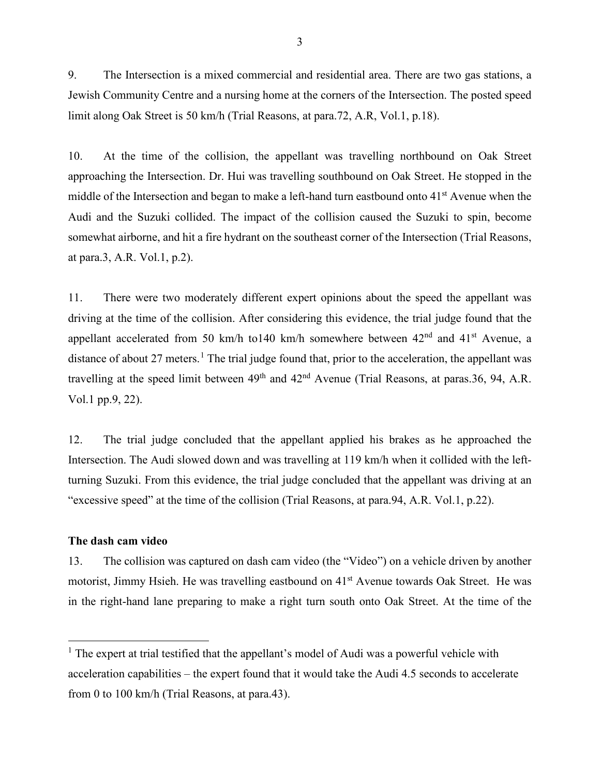9. The Intersection is a mixed commercial and residential area. There are two gas stations, a Jewish Community Centre and a nursing home at the corners of the Intersection. The posted speed limit along Oak Street is 50 km/h (Trial Reasons, at para.72, A.R, Vol.1, p.18).

10. At the time of the collision, the appellant was travelling northbound on Oak Street approaching the Intersection. Dr. Hui was travelling southbound on Oak Street. He stopped in the middle of the Intersection and began to make a left-hand turn eastbound onto  $41<sup>st</sup>$  Avenue when the Audi and the Suzuki collided. The impact of the collision caused the Suzuki to spin, become somewhat airborne, and hit a fire hydrant on the southeast corner of the Intersection (Trial Reasons, at para.3, A.R. Vol.1, p.2).

11. There were two moderately different expert opinions about the speed the appellant was driving at the time of the collision. After considering this evidence, the trial judge found that the appellant accelerated from 50 km/h to140 km/h somewhere between  $42<sup>nd</sup>$  and  $41<sup>st</sup>$  Avenue, a distance of about 27 meters.<sup>[1](#page-4-0)</sup> The trial judge found that, prior to the acceleration, the appellant was travelling at the speed limit between  $49<sup>th</sup>$  and  $42<sup>nd</sup>$  Avenue (Trial Reasons, at paras. 36, 94, A.R. Vol.1 pp.9, 22).

12. The trial judge concluded that the appellant applied his brakes as he approached the Intersection. The Audi slowed down and was travelling at 119 km/h when it collided with the leftturning Suzuki. From this evidence, the trial judge concluded that the appellant was driving at an "excessive speed" at the time of the collision (Trial Reasons, at para.94, A.R. Vol.1, p.22).

#### **The dash cam video**

 $\overline{a}$ 

13. The collision was captured on dash cam video (the "Video") on a vehicle driven by another motorist, Jimmy Hsieh. He was travelling eastbound on 41<sup>st</sup> Avenue towards Oak Street. He was in the right-hand lane preparing to make a right turn south onto Oak Street. At the time of the

<span id="page-4-0"></span> $<sup>1</sup>$  The expert at trial testified that the appellant's model of Audi was a powerful vehicle with</sup> acceleration capabilities – the expert found that it would take the Audi 4.5 seconds to accelerate from 0 to 100 km/h (Trial Reasons, at para.43).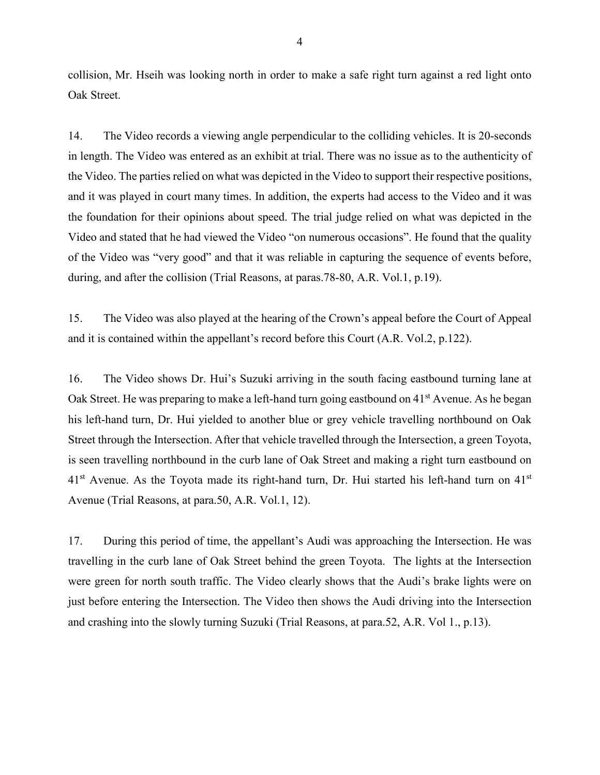collision, Mr. Hseih was looking north in order to make a safe right turn against a red light onto Oak Street.

14. The Video records a viewing angle perpendicular to the colliding vehicles. It is 20-seconds in length. The Video was entered as an exhibit at trial. There was no issue as to the authenticity of the Video. The parties relied on what was depicted in the Video to support their respective positions, and it was played in court many times. In addition, the experts had access to the Video and it was the foundation for their opinions about speed. The trial judge relied on what was depicted in the Video and stated that he had viewed the Video "on numerous occasions". He found that the quality of the Video was "very good" and that it was reliable in capturing the sequence of events before, during, and after the collision (Trial Reasons, at paras.78-80, A.R. Vol.1, p.19).

15. The Video was also played at the hearing of the Crown's appeal before the Court of Appeal and it is contained within the appellant's record before this Court (A.R. Vol.2, p.122).

16. The Video shows Dr. Hui's Suzuki arriving in the south facing eastbound turning lane at Oak Street. He was preparing to make a left-hand turn going eastbound on 41<sup>st</sup> Avenue. As he began his left-hand turn, Dr. Hui yielded to another blue or grey vehicle travelling northbound on Oak Street through the Intersection. After that vehicle travelled through the Intersection, a green Toyota, is seen travelling northbound in the curb lane of Oak Street and making a right turn eastbound on  $41<sup>st</sup>$  Avenue. As the Toyota made its right-hand turn, Dr. Hui started his left-hand turn on  $41<sup>st</sup>$ Avenue (Trial Reasons, at para.50, A.R. Vol.1, 12).

17. During this period of time, the appellant's Audi was approaching the Intersection. He was travelling in the curb lane of Oak Street behind the green Toyota. The lights at the Intersection were green for north south traffic. The Video clearly shows that the Audi's brake lights were on just before entering the Intersection. The Video then shows the Audi driving into the Intersection and crashing into the slowly turning Suzuki (Trial Reasons, at para.52, A.R. Vol 1., p.13).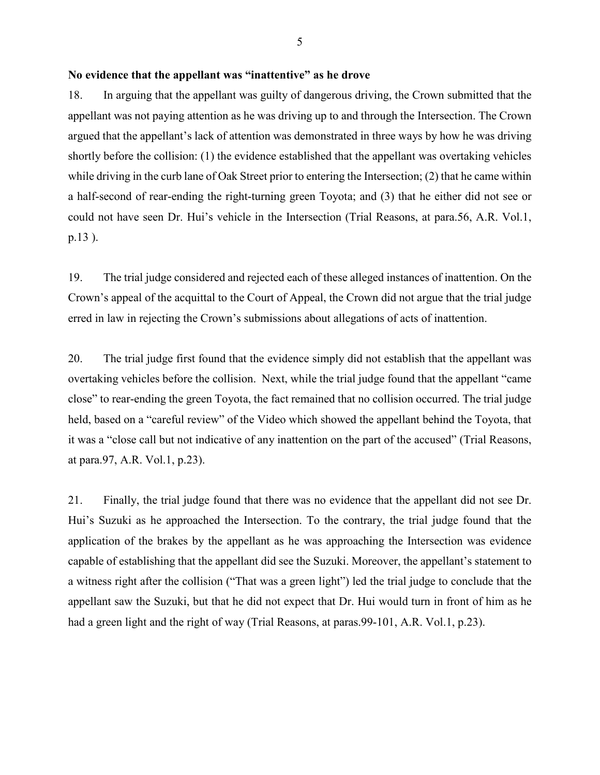### **No evidence that the appellant was "inattentive" as he drove**

18. In arguing that the appellant was guilty of dangerous driving, the Crown submitted that the appellant was not paying attention as he was driving up to and through the Intersection. The Crown argued that the appellant's lack of attention was demonstrated in three ways by how he was driving shortly before the collision: (1) the evidence established that the appellant was overtaking vehicles while driving in the curb lane of Oak Street prior to entering the Intersection; (2) that he came within a half-second of rear-ending the right-turning green Toyota; and (3) that he either did not see or could not have seen Dr. Hui's vehicle in the Intersection (Trial Reasons, at para.56, A.R. Vol.1, p.13 ).

19. The trial judge considered and rejected each of these alleged instances of inattention. On the Crown's appeal of the acquittal to the Court of Appeal, the Crown did not argue that the trial judge erred in law in rejecting the Crown's submissions about allegations of acts of inattention.

20. The trial judge first found that the evidence simply did not establish that the appellant was overtaking vehicles before the collision. Next, while the trial judge found that the appellant "came close" to rear-ending the green Toyota, the fact remained that no collision occurred. The trial judge held, based on a "careful review" of the Video which showed the appellant behind the Toyota, that it was a "close call but not indicative of any inattention on the part of the accused" (Trial Reasons, at para.97, A.R. Vol.1, p.23).

21. Finally, the trial judge found that there was no evidence that the appellant did not see Dr. Hui's Suzuki as he approached the Intersection. To the contrary, the trial judge found that the application of the brakes by the appellant as he was approaching the Intersection was evidence capable of establishing that the appellant did see the Suzuki. Moreover, the appellant's statement to a witness right after the collision ("That was a green light") led the trial judge to conclude that the appellant saw the Suzuki, but that he did not expect that Dr. Hui would turn in front of him as he had a green light and the right of way (Trial Reasons, at paras. 99-101, A.R. Vol.1, p.23).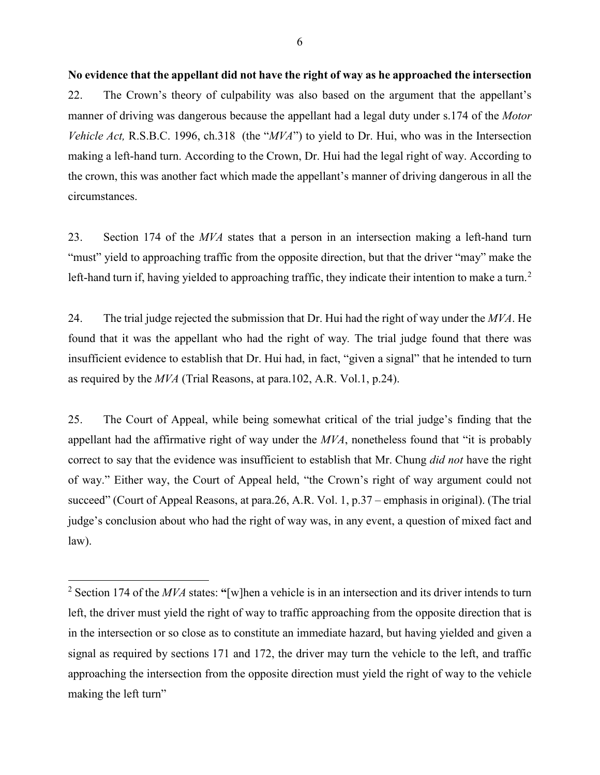**No evidence that the appellant did not have the right of way as he approached the intersection**  22. The Crown's theory of culpability was also based on the argument that the appellant's manner of driving was dangerous because the appellant had a legal duty under s.174 of the *Motor Vehicle Act,* R.S.B.C. 1996, ch.318 (the "*MVA*") to yield to Dr. Hui, who was in the Intersection making a left-hand turn. According to the Crown, Dr. Hui had the legal right of way. According to the crown, this was another fact which made the appellant's manner of driving dangerous in all the circumstances.

23. Section 174 of the *MVA* states that a person in an intersection making a left-hand turn "must" yield to approaching traffic from the opposite direction, but that the driver "may" make the left-hand turn if, having yielded to approaching traffic, they indicate their intention to make a turn.<sup>[2](#page-7-0)</sup>

24. The trial judge rejected the submission that Dr. Hui had the right of way under the *MVA*. He found that it was the appellant who had the right of way*.* The trial judge found that there was insufficient evidence to establish that Dr. Hui had, in fact, "given a signal" that he intended to turn as required by the *MVA* (Trial Reasons, at para.102, A.R. Vol.1, p.24).

25. The Court of Appeal, while being somewhat critical of the trial judge's finding that the appellant had the affirmative right of way under the *MVA*, nonetheless found that "it is probably correct to say that the evidence was insufficient to establish that Mr. Chung *did not* have the right of way." Either way, the Court of Appeal held, "the Crown's right of way argument could not succeed" (Court of Appeal Reasons, at para.26, A.R. Vol. 1, p.37 – emphasis in original). (The trial judge's conclusion about who had the right of way was, in any event, a question of mixed fact and law).

 $\overline{a}$ 

<span id="page-7-0"></span><sup>2</sup> Section 174 of the *MVA* states: **"**[w]hen a vehicle is in an intersection and its driver intends to turn left, the driver must yield the right of way to traffic approaching from the opposite direction that is in the intersection or so close as to constitute an immediate hazard, but having yielded and given a signal as required by sections 171 and 172, the driver may turn the vehicle to the left, and traffic approaching the intersection from the opposite direction must yield the right of way to the vehicle making the left turn"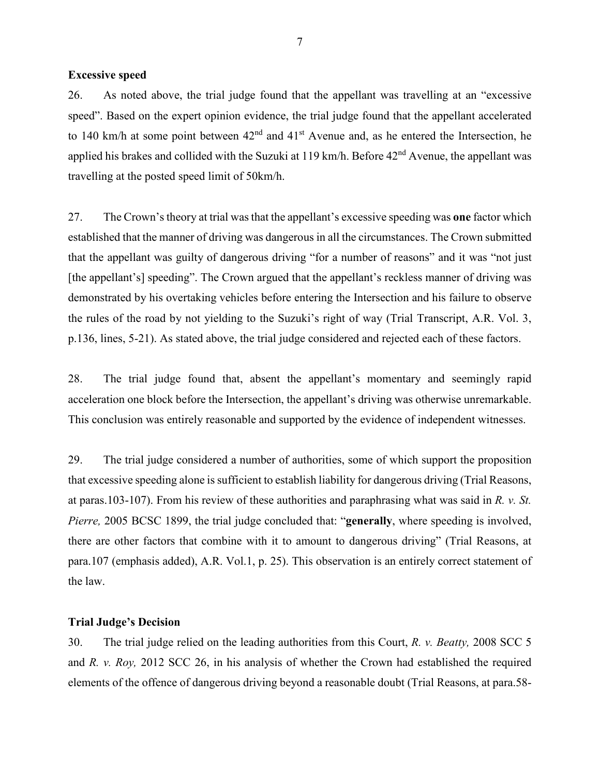#### **Excessive speed**

26. As noted above, the trial judge found that the appellant was travelling at an "excessive speed". Based on the expert opinion evidence, the trial judge found that the appellant accelerated to 140 km/h at some point between  $42<sup>nd</sup>$  and  $41<sup>st</sup>$  Avenue and, as he entered the Intersection, he applied his brakes and collided with the Suzuki at 119 km/h. Before  $42<sup>nd</sup>$  Avenue, the appellant was travelling at the posted speed limit of 50km/h.

27. The Crown's theory at trial was that the appellant's excessive speeding was **one** factor which established that the manner of driving was dangerous in all the circumstances. The Crown submitted that the appellant was guilty of dangerous driving "for a number of reasons" and it was "not just [the appellant's] speeding". The Crown argued that the appellant's reckless manner of driving was demonstrated by his overtaking vehicles before entering the Intersection and his failure to observe the rules of the road by not yielding to the Suzuki's right of way (Trial Transcript, A.R. Vol. 3, p.136, lines, 5-21). As stated above, the trial judge considered and rejected each of these factors.

28. The trial judge found that, absent the appellant's momentary and seemingly rapid acceleration one block before the Intersection, the appellant's driving was otherwise unremarkable. This conclusion was entirely reasonable and supported by the evidence of independent witnesses.

29. The trial judge considered a number of authorities, some of which support the proposition that excessive speeding alone is sufficient to establish liability for dangerous driving (Trial Reasons, at paras.103-107). From his review of these authorities and paraphrasing what was said in *R. v. St. Pierre,* 2005 BCSC 1899, the trial judge concluded that: "**generally**, where speeding is involved, there are other factors that combine with it to amount to dangerous driving" (Trial Reasons, at para.107 (emphasis added), A.R. Vol.1, p. 25). This observation is an entirely correct statement of the law.

#### **Trial Judge's Decision**

30. The trial judge relied on the leading authorities from this Court, *R. v. Beatty,* 2008 SCC 5 and *R. v. Roy,* 2012 SCC 26, in his analysis of whether the Crown had established the required elements of the offence of dangerous driving beyond a reasonable doubt (Trial Reasons, at para.58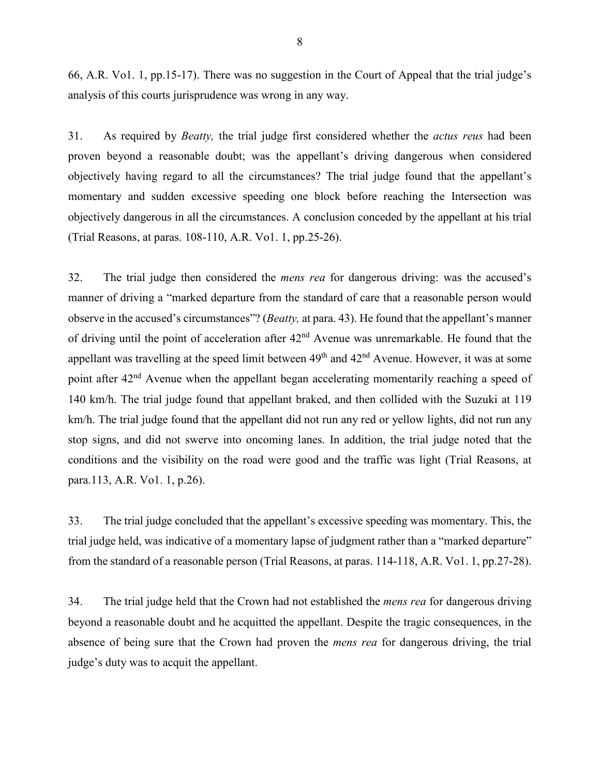66, A.R. Vo1. 1, pp.15-17). There was no suggestion in the Court of Appeal that the trial judge's analysis of this courts jurisprudence was wrong in any way.

31. As required by *Beatty,* the trial judge first considered whether the *actus reus* had been proven beyond a reasonable doubt; was the appellant's driving dangerous when considered objectively having regard to all the circumstances? The trial judge found that the appellant's momentary and sudden excessive speeding one block before reaching the Intersection was objectively dangerous in all the circumstances. A conclusion conceded by the appellant at his trial (Trial Reasons, at paras. 108-110, A.R. Vo1. 1, pp.25-26).

32. The trial judge then considered the *mens rea* for dangerous driving: was the accused's manner of driving a "marked departure from the standard of care that a reasonable person would observe in the accused's circumstances"? (*Beatty,* at para. 43). He found that the appellant's manner of driving until the point of acceleration after  $42<sup>nd</sup>$  Avenue was unremarkable. He found that the appellant was travelling at the speed limit between  $49<sup>th</sup>$  and  $42<sup>nd</sup>$  Avenue. However, it was at some point after 42<sup>nd</sup> Avenue when the appellant began accelerating momentarily reaching a speed of 140 km/h. The trial judge found that appellant braked, and then collided with the Suzuki at 119 km/h. The trial judge found that the appellant did not run any red or yellow lights, did not run any stop signs, and did not swerve into oncoming lanes. In addition, the trial judge noted that the conditions and the visibility on the road were good and the traffic was light (Trial Reasons, at para.113, A.R. Vo1. 1, p.26).

33. The trial judge concluded that the appellant's excessive speeding was momentary. This, the trial judge held, was indicative of a momentary lapse of judgment rather than a "marked departure" from the standard of a reasonable person (Trial Reasons, at paras. 114-118, A.R. Vo1. 1, pp.27-28).

34. The trial judge held that the Crown had not established the *mens rea* for dangerous driving beyond a reasonable doubt and he acquitted the appellant. Despite the tragic consequences, in the absence of being sure that the Crown had proven the *mens rea* for dangerous driving, the trial judge's duty was to acquit the appellant.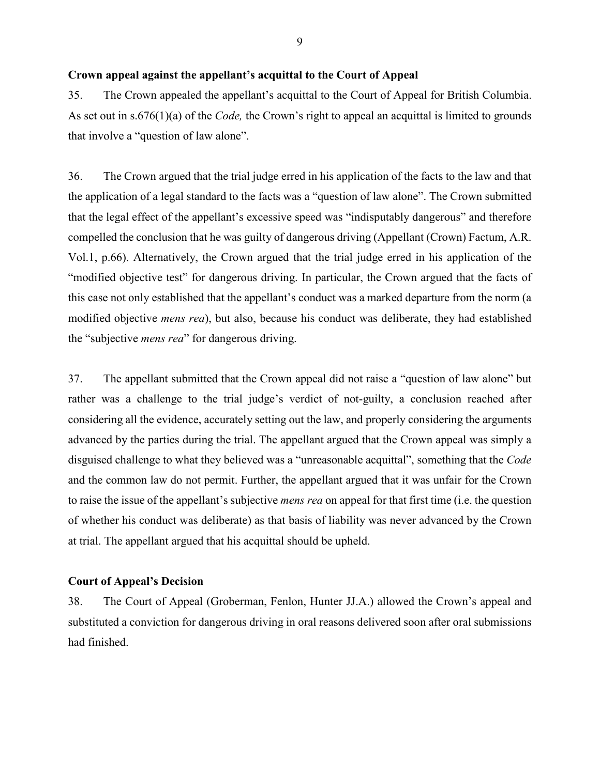## **Crown appeal against the appellant's acquittal to the Court of Appeal**

35. The Crown appealed the appellant's acquittal to the Court of Appeal for British Columbia. As set out in s.676(1)(a) of the *Code,* the Crown's right to appeal an acquittal is limited to grounds that involve a "question of law alone".

36. The Crown argued that the trial judge erred in his application of the facts to the law and that the application of a legal standard to the facts was a "question of law alone". The Crown submitted that the legal effect of the appellant's excessive speed was "indisputably dangerous" and therefore compelled the conclusion that he was guilty of dangerous driving (Appellant (Crown) Factum, A.R. Vol.1, p.66). Alternatively, the Crown argued that the trial judge erred in his application of the "modified objective test" for dangerous driving. In particular, the Crown argued that the facts of this case not only established that the appellant's conduct was a marked departure from the norm (a modified objective *mens rea*), but also, because his conduct was deliberate, they had established the "subjective *mens rea*" for dangerous driving.

37. The appellant submitted that the Crown appeal did not raise a "question of law alone" but rather was a challenge to the trial judge's verdict of not-guilty, a conclusion reached after considering all the evidence, accurately setting out the law, and properly considering the arguments advanced by the parties during the trial. The appellant argued that the Crown appeal was simply a disguised challenge to what they believed was a "unreasonable acquittal", something that the *Code* and the common law do not permit. Further, the appellant argued that it was unfair for the Crown to raise the issue of the appellant's subjective *mens rea* on appeal for that first time (i.e. the question of whether his conduct was deliberate) as that basis of liability was never advanced by the Crown at trial. The appellant argued that his acquittal should be upheld.

### **Court of Appeal's Decision**

38. The Court of Appeal (Groberman, Fenlon, Hunter JJ.A.) allowed the Crown's appeal and substituted a conviction for dangerous driving in oral reasons delivered soon after oral submissions had finished.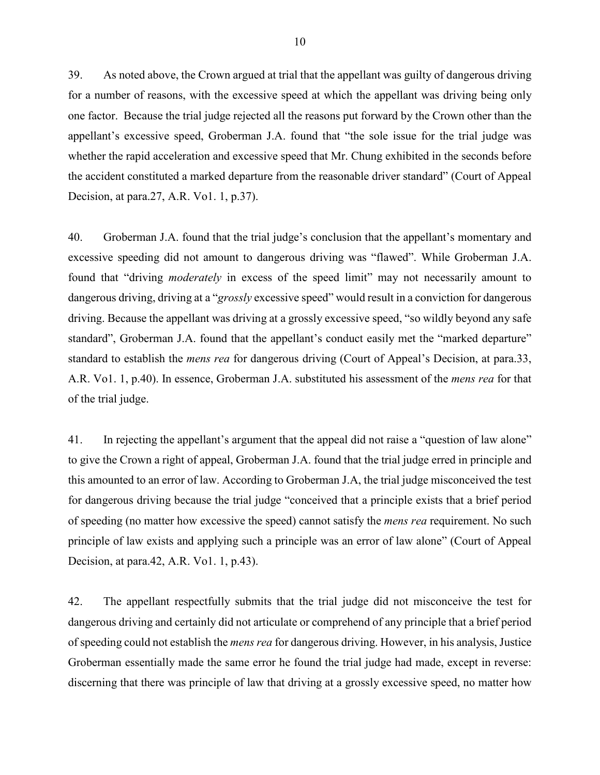39. As noted above, the Crown argued at trial that the appellant was guilty of dangerous driving for a number of reasons, with the excessive speed at which the appellant was driving being only one factor. Because the trial judge rejected all the reasons put forward by the Crown other than the appellant's excessive speed, Groberman J.A. found that "the sole issue for the trial judge was whether the rapid acceleration and excessive speed that Mr. Chung exhibited in the seconds before the accident constituted a marked departure from the reasonable driver standard" (Court of Appeal Decision, at para.27, A.R. Vo1. 1, p.37).

40. Groberman J.A. found that the trial judge's conclusion that the appellant's momentary and excessive speeding did not amount to dangerous driving was "flawed". While Groberman J.A. found that "driving *moderately* in excess of the speed limit" may not necessarily amount to dangerous driving, driving at a "*grossly* excessive speed" would result in a conviction for dangerous driving. Because the appellant was driving at a grossly excessive speed, "so wildly beyond any safe standard", Groberman J.A. found that the appellant's conduct easily met the "marked departure" standard to establish the *mens rea* for dangerous driving (Court of Appeal's Decision, at para.33, A.R. Vo1. 1, p.40). In essence, Groberman J.A. substituted his assessment of the *mens rea* for that of the trial judge.

41. In rejecting the appellant's argument that the appeal did not raise a "question of law alone" to give the Crown a right of appeal, Groberman J.A. found that the trial judge erred in principle and this amounted to an error of law. According to Groberman J.A, the trial judge misconceived the test for dangerous driving because the trial judge "conceived that a principle exists that a brief period of speeding (no matter how excessive the speed) cannot satisfy the *mens rea* requirement. No such principle of law exists and applying such a principle was an error of law alone" (Court of Appeal Decision, at para.42, A.R. Vo1. 1, p.43).

42. The appellant respectfully submits that the trial judge did not misconceive the test for dangerous driving and certainly did not articulate or comprehend of any principle that a brief period of speeding could not establish the *mens rea* for dangerous driving. However, in his analysis, Justice Groberman essentially made the same error he found the trial judge had made, except in reverse: discerning that there was principle of law that driving at a grossly excessive speed, no matter how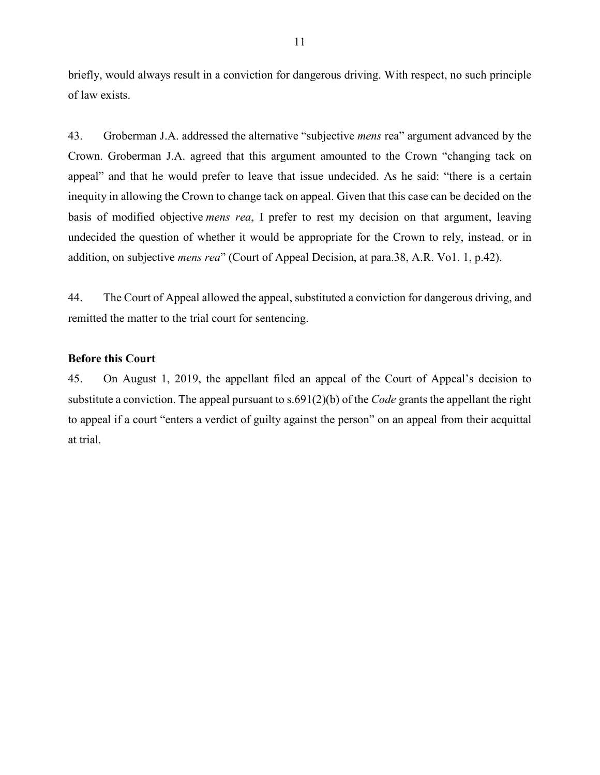briefly, would always result in a conviction for dangerous driving. With respect, no such principle of law exists.

43. Groberman J.A. addressed the alternative "subjective *mens* rea" argument advanced by the Crown. Groberman J.A. agreed that this argument amounted to the Crown "changing tack on appeal" and that he would prefer to leave that issue undecided. As he said: "there is a certain inequity in allowing the Crown to change tack on appeal. Given that this case can be decided on the basis of modified objective *mens rea*, I prefer to rest my decision on that argument, leaving undecided the question of whether it would be appropriate for the Crown to rely, instead, or in addition, on subjective *mens rea*" (Court of Appeal Decision, at para.38, A.R. Vo1. 1, p.42).

44. The Court of Appeal allowed the appeal, substituted a conviction for dangerous driving, and remitted the matter to the trial court for sentencing.

## **Before this Court**

45. On August 1, 2019, the appellant filed an appeal of the Court of Appeal's decision to substitute a conviction. The appeal pursuant to s.691(2)(b) of the *Code* grants the appellant the right to appeal if a court "enters a verdict of guilty against the person" on an appeal from their acquittal at trial.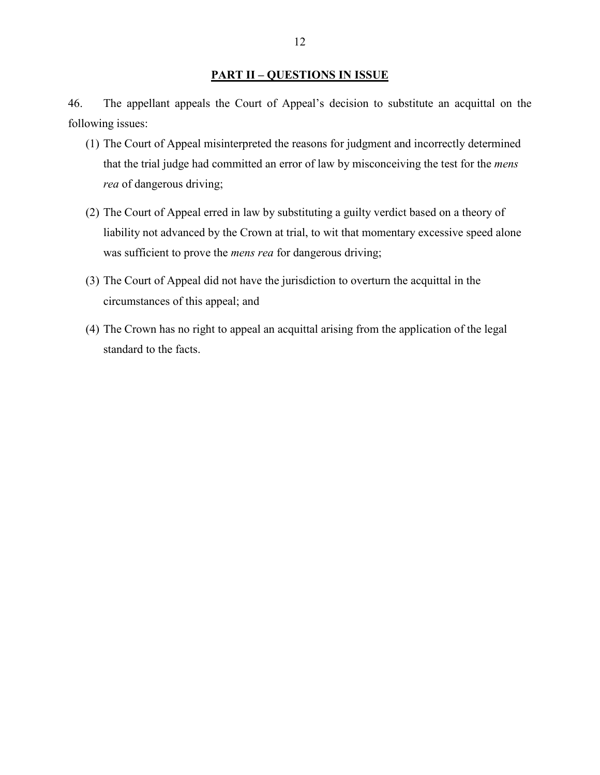# **PART II – QUESTIONS IN ISSUE**

46. The appellant appeals the Court of Appeal's decision to substitute an acquittal on the following issues:

- (1) The Court of Appeal misinterpreted the reasons for judgment and incorrectly determined that the trial judge had committed an error of law by misconceiving the test for the *mens rea* of dangerous driving;
- (2) The Court of Appeal erred in law by substituting a guilty verdict based on a theory of liability not advanced by the Crown at trial, to wit that momentary excessive speed alone was sufficient to prove the *mens rea* for dangerous driving;
- (3) The Court of Appeal did not have the jurisdiction to overturn the acquittal in the circumstances of this appeal; and
- (4) The Crown has no right to appeal an acquittal arising from the application of the legal standard to the facts.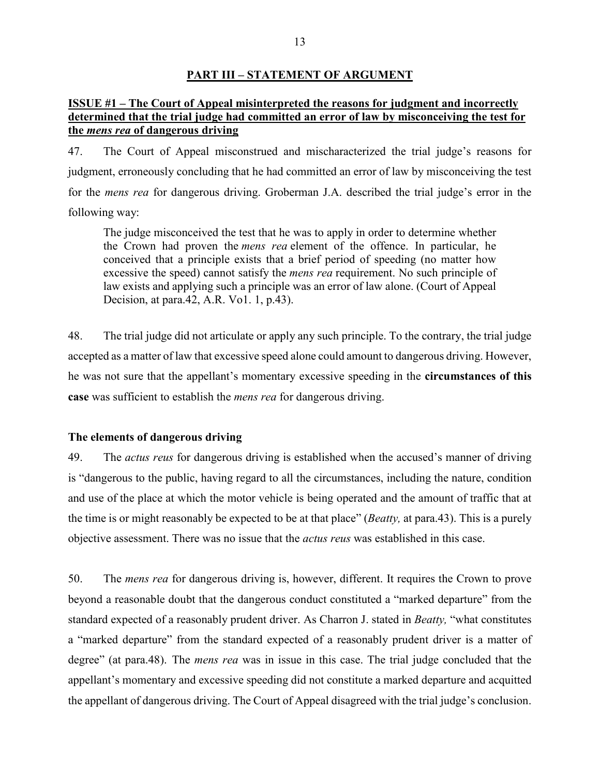#### **PART III – STATEMENT OF ARGUMENT**

## **ISSUE #1 – The Court of Appeal misinterpreted the reasons for judgment and incorrectly determined that the trial judge had committed an error of law by misconceiving the test for the** *mens rea* **of dangerous driving**

47. The Court of Appeal misconstrued and mischaracterized the trial judge's reasons for judgment, erroneously concluding that he had committed an error of law by misconceiving the test for the *mens rea* for dangerous driving. Groberman J.A. described the trial judge's error in the following way:

The judge misconceived the test that he was to apply in order to determine whether the Crown had proven the *mens rea* element of the offence. In particular, he conceived that a principle exists that a brief period of speeding (no matter how excessive the speed) cannot satisfy the *mens rea* requirement. No such principle of law exists and applying such a principle was an error of law alone. (Court of Appeal Decision, at para.42, A.R. Vo1. 1, p.43).

48. The trial judge did not articulate or apply any such principle. To the contrary, the trial judge accepted as a matter of law that excessive speed alone could amount to dangerous driving. However, he was not sure that the appellant's momentary excessive speeding in the **circumstances of this case** was sufficient to establish the *mens rea* for dangerous driving.

#### **The elements of dangerous driving**

49. The *actus reus* for dangerous driving is established when the accused's manner of driving is "dangerous to the public, having regard to all the circumstances, including the nature, condition and use of the place at which the motor vehicle is being operated and the amount of traffic that at the time is or might reasonably be expected to be at that place" (*Beatty,* at para.43). This is a purely objective assessment. There was no issue that the *actus reus* was established in this case.

50. The *mens rea* for dangerous driving is, however, different. It requires the Crown to prove beyond a reasonable doubt that the dangerous conduct constituted a "marked departure" from the standard expected of a reasonably prudent driver. As Charron J. stated in *Beatty,* "what constitutes a "marked departure" from the standard expected of a reasonably prudent driver is a matter of degree" (at para.48). The *mens rea* was in issue in this case. The trial judge concluded that the appellant's momentary and excessive speeding did not constitute a marked departure and acquitted the appellant of dangerous driving. The Court of Appeal disagreed with the trial judge's conclusion.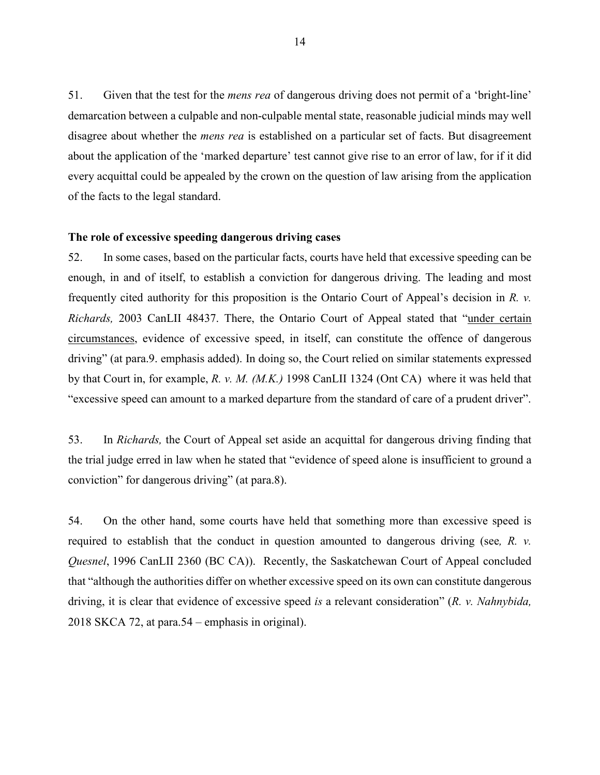51. Given that the test for the *mens rea* of dangerous driving does not permit of a 'bright-line' demarcation between a culpable and non-culpable mental state, reasonable judicial minds may well disagree about whether the *mens rea* is established on a particular set of facts. But disagreement about the application of the 'marked departure' test cannot give rise to an error of law, for if it did every acquittal could be appealed by the crown on the question of law arising from the application of the facts to the legal standard.

#### **The role of excessive speeding dangerous driving cases**

52. In some cases, based on the particular facts, courts have held that excessive speeding can be enough, in and of itself, to establish a conviction for dangerous driving. The leading and most frequently cited authority for this proposition is the Ontario Court of Appeal's decision in *R. v. Richards,* 2003 CanLII 48437. There, the Ontario Court of Appeal stated that "under certain circumstances, evidence of excessive speed, in itself, can constitute the offence of dangerous driving" (at para.9. emphasis added). In doing so, the Court relied on similar statements expressed by that Court in, for example, *R. v. M. (M.K.)* [1998 CanLII 1324 \(Ont](https://www.canlii.org/en/on/onca/doc/1998/1998canlii1324/1998canlii1324.html) CA) where it was held that "excessive speed can amount to a marked departure from the standard of care of a prudent driver".

53. In *Richards,* the Court of Appeal set aside an acquittal for dangerous driving finding that the trial judge erred in law when he stated that "evidence of speed alone is insufficient to ground a conviction" for dangerous driving" (at para.8).

54. On the other hand, some courts have held that something more than excessive speed is required to establish that the conduct in question amounted to dangerous driving (see*, R. v. Quesnel*, 1996 CanLII 2360 (BC CA)). Recently, the Saskatchewan Court of Appeal concluded that "although the authorities differ on whether excessive speed on its own can constitute dangerous driving, it is clear that evidence of excessive speed *is* a relevant consideration" (*R. v. Nahnybida,*  2018 SKCA 72, at para.54 – emphasis in original).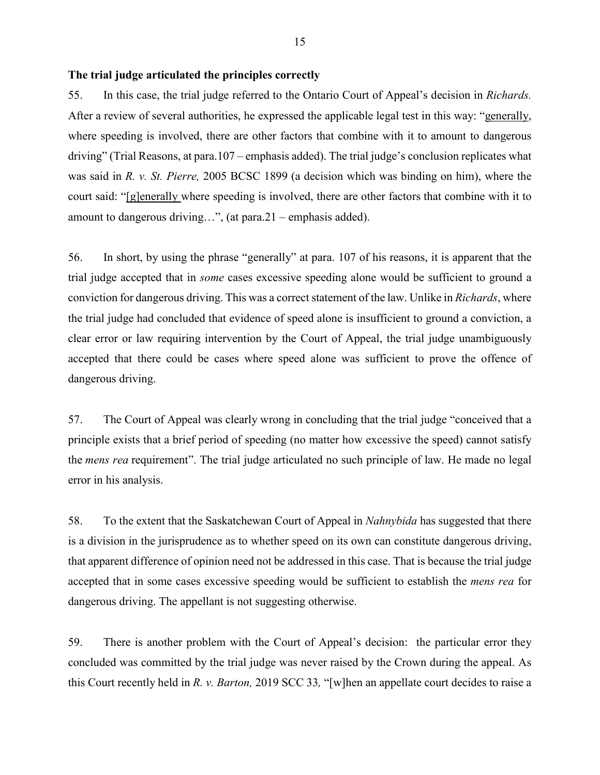### **The trial judge articulated the principles correctly**

55. In this case, the trial judge referred to the Ontario Court of Appeal's decision in *Richards.*  After a review of several authorities, he expressed the applicable legal test in this way: "generally, where speeding is involved, there are other factors that combine with it to amount to dangerous driving" (Trial Reasons, at para.107 – emphasis added). The trial judge's conclusion replicates what was said in *R. v. St. Pierre,* 2005 BCSC 1899 (a decision which was binding on him), where the court said: "[g]enerally where speeding is involved, there are other factors that combine with it to amount to dangerous driving…", (at para.21 – emphasis added).

56. In short, by using the phrase "generally" at para. 107 of his reasons, it is apparent that the trial judge accepted that in *some* cases excessive speeding alone would be sufficient to ground a conviction for dangerous driving. This was a correct statement of the law. Unlike in *Richards*, where the trial judge had concluded that evidence of speed alone is insufficient to ground a conviction, a clear error or law requiring intervention by the Court of Appeal, the trial judge unambiguously accepted that there could be cases where speed alone was sufficient to prove the offence of dangerous driving.

57. The Court of Appeal was clearly wrong in concluding that the trial judge "conceived that a principle exists that a brief period of speeding (no matter how excessive the speed) cannot satisfy the *mens rea* requirement". The trial judge articulated no such principle of law. He made no legal error in his analysis.

58. To the extent that the Saskatchewan Court of Appeal in *Nahnybida* has suggested that there is a division in the jurisprudence as to whether speed on its own can constitute dangerous driving, that apparent difference of opinion need not be addressed in this case. That is because the trial judge accepted that in some cases excessive speeding would be sufficient to establish the *mens rea* for dangerous driving. The appellant is not suggesting otherwise.

59. There is another problem with the Court of Appeal's decision: the particular error they concluded was committed by the trial judge was never raised by the Crown during the appeal. As this Court recently held in *R. v. Barton,* 2019 SCC 33*,* "[w]hen an appellate court decides to raise a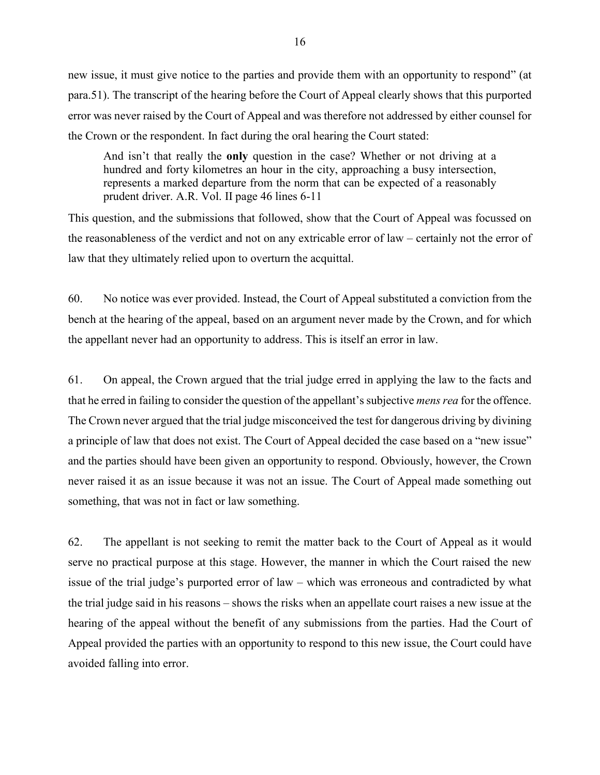new issue, it must give notice to the parties and provide them with an opportunity to respond" (at para.51). The transcript of the hearing before the Court of Appeal clearly shows that this purported error was never raised by the Court of Appeal and was therefore not addressed by either counsel for the Crown or the respondent. In fact during the oral hearing the Court stated:

And isn't that really the **only** question in the case? Whether or not driving at a hundred and forty kilometres an hour in the city, approaching a busy intersection, represents a marked departure from the norm that can be expected of a reasonably prudent driver. A.R. Vol. II page 46 lines 6-11

This question, and the submissions that followed, show that the Court of Appeal was focussed on the reasonableness of the verdict and not on any extricable error of law – certainly not the error of law that they ultimately relied upon to overturn the acquittal.

60. No notice was ever provided. Instead, the Court of Appeal substituted a conviction from the bench at the hearing of the appeal, based on an argument never made by the Crown, and for which the appellant never had an opportunity to address. This is itself an error in law.

61. On appeal, the Crown argued that the trial judge erred in applying the law to the facts and that he erred in failing to consider the question of the appellant's subjective *mens rea* for the offence. The Crown never argued that the trial judge misconceived the test for dangerous driving by divining a principle of law that does not exist. The Court of Appeal decided the case based on a "new issue" and the parties should have been given an opportunity to respond. Obviously, however, the Crown never raised it as an issue because it was not an issue. The Court of Appeal made something out something, that was not in fact or law something.

62. The appellant is not seeking to remit the matter back to the Court of Appeal as it would serve no practical purpose at this stage. However, the manner in which the Court raised the new issue of the trial judge's purported error of law – which was erroneous and contradicted by what the trial judge said in his reasons – shows the risks when an appellate court raises a new issue at the hearing of the appeal without the benefit of any submissions from the parties. Had the Court of Appeal provided the parties with an opportunity to respond to this new issue, the Court could have avoided falling into error.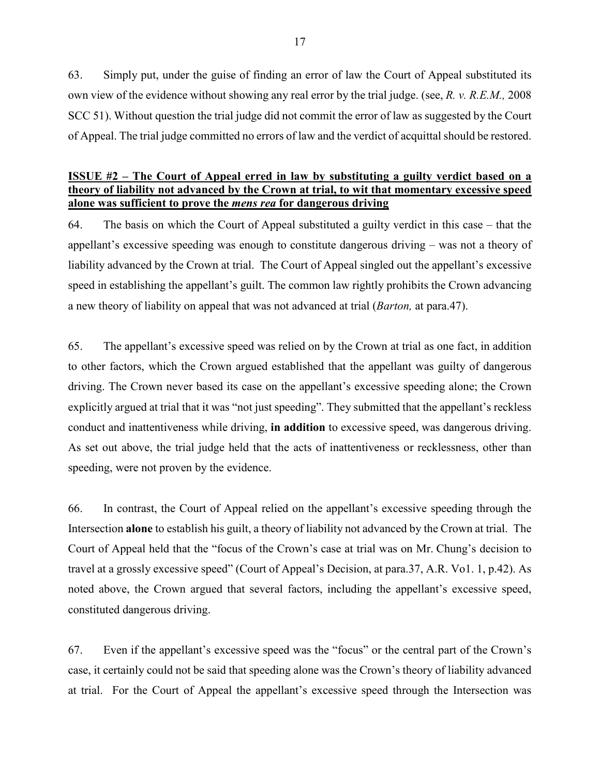63. Simply put, under the guise of finding an error of law the Court of Appeal substituted its own view of the evidence without showing any real error by the trial judge. (see, *R. v. R.E.M.,* 2008 SCC 51). Without question the trial judge did not commit the error of law as suggested by the Court of Appeal. The trial judge committed no errors of law and the verdict of acquittal should be restored.

### **ISSUE #2 – The Court of Appeal erred in law by substituting a guilty verdict based on a theory of liability not advanced by the Crown at trial, to wit that momentary excessive speed alone was sufficient to prove the** *mens rea* **for dangerous driving**

64. The basis on which the Court of Appeal substituted a guilty verdict in this case – that the appellant's excessive speeding was enough to constitute dangerous driving – was not a theory of liability advanced by the Crown at trial. The Court of Appeal singled out the appellant's excessive speed in establishing the appellant's guilt. The common law rightly prohibits the Crown advancing a new theory of liability on appeal that was not advanced at trial (*Barton,* at para.47).

65. The appellant's excessive speed was relied on by the Crown at trial as one fact, in addition to other factors, which the Crown argued established that the appellant was guilty of dangerous driving. The Crown never based its case on the appellant's excessive speeding alone; the Crown explicitly argued at trial that it was "not just speeding". They submitted that the appellant's reckless conduct and inattentiveness while driving, **in addition** to excessive speed, was dangerous driving. As set out above, the trial judge held that the acts of inattentiveness or recklessness, other than speeding, were not proven by the evidence.

66. In contrast, the Court of Appeal relied on the appellant's excessive speeding through the Intersection **alone** to establish his guilt, a theory of liability not advanced by the Crown at trial. The Court of Appeal held that the "focus of the Crown's case at trial was on Mr. Chung's decision to travel at a grossly excessive speed" (Court of Appeal's Decision, at para.37, A.R. Vo1. 1, p.42). As noted above, the Crown argued that several factors, including the appellant's excessive speed, constituted dangerous driving.

67. Even if the appellant's excessive speed was the "focus" or the central part of the Crown's case, it certainly could not be said that speeding alone was the Crown's theory of liability advanced at trial. For the Court of Appeal the appellant's excessive speed through the Intersection was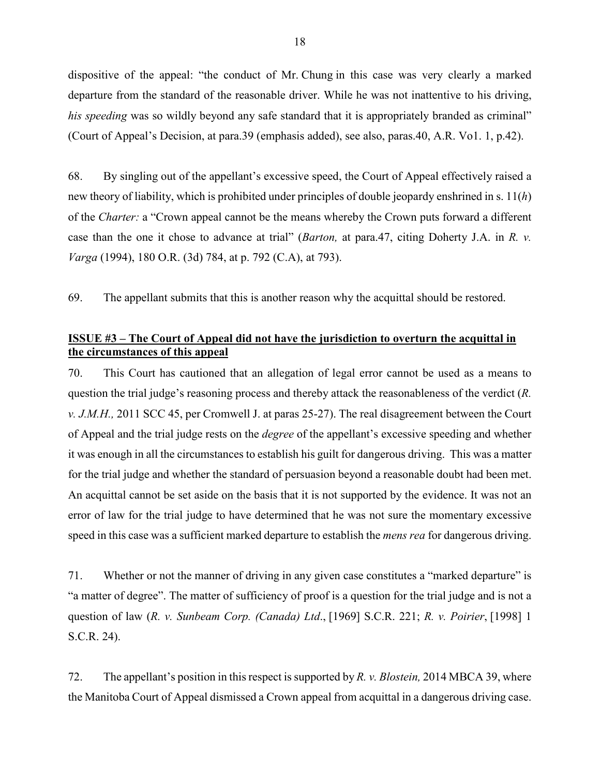dispositive of the appeal: "the conduct of Mr. Chung in this case was very clearly a marked departure from the standard of the reasonable driver. While he was not inattentive to his driving, *his speeding* was so wildly beyond any safe standard that it is appropriately branded as criminal" (Court of Appeal's Decision, at para.39 (emphasis added), see also, paras.40, A.R. Vo1. 1, p.42).

68. By singling out of the appellant's excessive speed, the Court of Appeal effectively raised a new theory of liability, which is prohibited under principles of double jeopardy enshrined in s. 11(*h*) of the *Charter:* a "Crown appeal cannot be the means whereby the Crown puts forward a different case than the one it chose to advance at trial" (*Barton,* at para.47, citing Doherty J.A. in *R. v. Varga* (1994), 180 O.R. (3d) 784, at p. 792 (C.A), at 793).

69. The appellant submits that this is another reason why the acquittal should be restored.

## **ISSUE #3 – The Court of Appeal did not have the jurisdiction to overturn the acquittal in the circumstances of this appeal**

70. This Court has cautioned that an allegation of legal error cannot be used as a means to question the trial judge's reasoning process and thereby attack the reasonableness of the verdict (*R. v. J.M.H.,* 2011 SCC 45, per Cromwell J. at paras 25-27). The real disagreement between the Court of Appeal and the trial judge rests on the *degree* of the appellant's excessive speeding and whether it was enough in all the circumstances to establish his guilt for dangerous driving. This was a matter for the trial judge and whether the standard of persuasion beyond a reasonable doubt had been met. An acquittal cannot be set aside on the basis that it is not supported by the evidence. It was not an error of law for the trial judge to have determined that he was not sure the momentary excessive speed in this case was a sufficient marked departure to establish the *mens rea* for dangerous driving.

71. Whether or not the manner of driving in any given case constitutes a "marked departure" is "a matter of degree". The matter of sufficiency of proof is a question for the trial judge and is not a question of law (*R. v. Sunbeam Corp. (Canada) Ltd*., [1969] S.C.R. 221; *R. v. Poirier*, [1998] 1 S.C.R. 24).

72. The appellant's position in this respect is supported by *R. v. Blostein,* 2014 MBCA 39, where the Manitoba Court of Appeal dismissed a Crown appeal from acquittal in a dangerous driving case.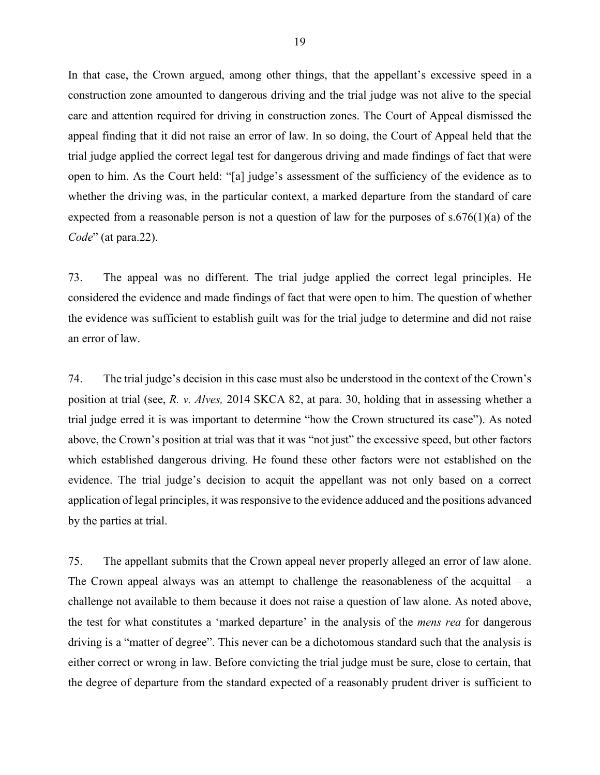In that case, the Crown argued, among other things, that the appellant's excessive speed in a construction zone amounted to dangerous driving and the trial judge was not alive to the special care and attention required for driving in construction zones. The Court of Appeal dismissed the appeal finding that it did not raise an error of law. In so doing, the Court of Appeal held that the trial judge applied the correct legal test for dangerous driving and made findings of fact that were open to him. As the Court held: "[a] judge's assessment of the sufficiency of the evidence as to whether the driving was, in the particular context, a marked departure from the standard of care expected from a reasonable person is not a question of law for the purposes of  $s.676(1)(a)$  of the *Code*" (at para.22).

73. The appeal was no different. The trial judge applied the correct legal principles. He considered the evidence and made findings of fact that were open to him. The question of whether the evidence was sufficient to establish guilt was for the trial judge to determine and did not raise an error of law.

74. The trial judge's decision in this case must also be understood in the context of the Crown's position at trial (see, *R. v. Alves,* 2014 SKCA 82, at para. 30, holding that in assessing whether a trial judge erred it is was important to determine "how the Crown structured its case"). As noted above, the Crown's position at trial was that it was "not just" the excessive speed, but other factors which established dangerous driving. He found these other factors were not established on the evidence. The trial judge's decision to acquit the appellant was not only based on a correct application of legal principles, it was responsive to the evidence adduced and the positions advanced by the parties at trial.

75. The appellant submits that the Crown appeal never properly alleged an error of law alone. The Crown appeal always was an attempt to challenge the reasonableness of the acquittal  $-$  a challenge not available to them because it does not raise a question of law alone. As noted above, the test for what constitutes a 'marked departure' in the analysis of the *mens rea* for dangerous driving is a "matter of degree". This never can be a dichotomous standard such that the analysis is either correct or wrong in law. Before convicting the trial judge must be sure, close to certain, that the degree of departure from the standard expected of a reasonably prudent driver is sufficient to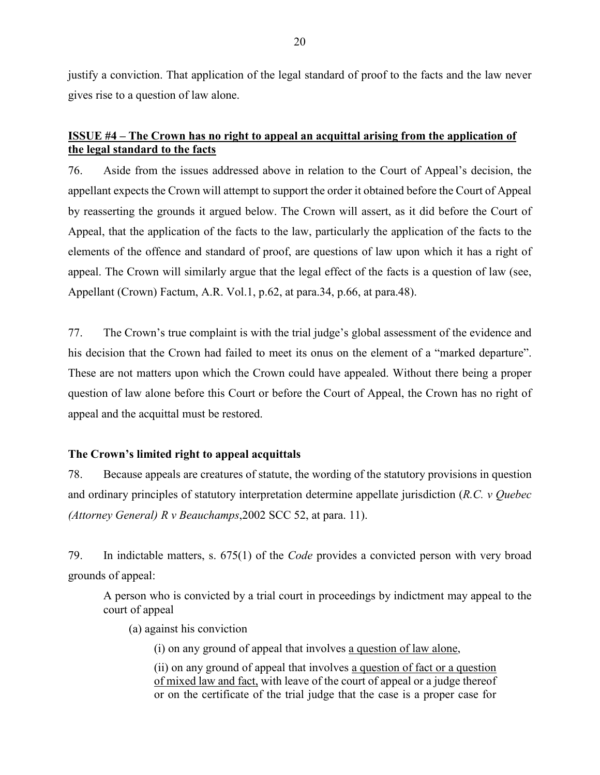justify a conviction. That application of the legal standard of proof to the facts and the law never gives rise to a question of law alone.

## **ISSUE #4 – The Crown has no right to appeal an acquittal arising from the application of the legal standard to the facts**

76. Aside from the issues addressed above in relation to the Court of Appeal's decision, the appellant expects the Crown will attempt to support the order it obtained before the Court of Appeal by reasserting the grounds it argued below. The Crown will assert, as it did before the Court of Appeal, that the application of the facts to the law, particularly the application of the facts to the elements of the offence and standard of proof, are questions of law upon which it has a right of appeal. The Crown will similarly argue that the legal effect of the facts is a question of law (see, Appellant (Crown) Factum, A.R. Vol.1, p.62, at para.34, p.66, at para.48).

77. The Crown's true complaint is with the trial judge's global assessment of the evidence and his decision that the Crown had failed to meet its onus on the element of a "marked departure". These are not matters upon which the Crown could have appealed. Without there being a proper question of law alone before this Court or before the Court of Appeal, the Crown has no right of appeal and the acquittal must be restored.

## **The Crown's limited right to appeal acquittals**

78. Because appeals are creatures of statute, the wording of the statutory provisions in question and ordinary principles of statutory interpretation determine appellate jurisdiction (*R.C. v Quebec (Attorney General) R v Beauchamps*,2002 SCC 52, at para. 11).

79. In indictable matters, s. 675(1) of the *Code* provides a convicted person with very broad grounds of appeal:

A person who is convicted by a trial court in proceedings by indictment may appeal to the court of appeal

(a) against his conviction

(i) on any ground of appeal that involves a question of law alone,

(ii) on any ground of appeal that involves a question of fact or a question of mixed law and fact, with leave of the court of appeal or a judge thereof or on the certificate of the trial judge that the case is a proper case for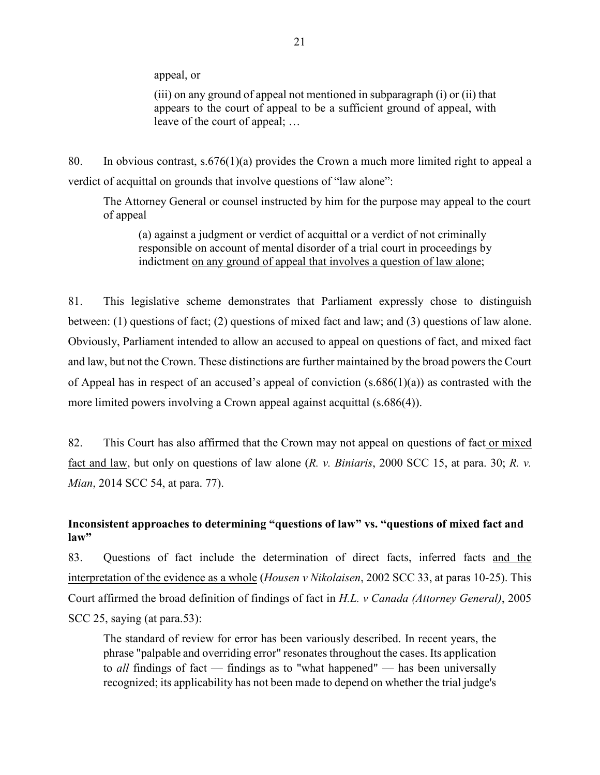appeal, or

(iii) on any ground of appeal not mentioned in subparagraph (i) or (ii) that appears to the court of appeal to be a sufficient ground of appeal, with leave of the court of appeal; …

80. In obvious contrast, s.676(1)(a) provides the Crown a much more limited right to appeal a verdict of acquittal on grounds that involve questions of "law alone":

The Attorney General or counsel instructed by him for the purpose may appeal to the court of appeal

(a) against a judgment or verdict of acquittal or a verdict of not criminally responsible on account of mental disorder of a trial court in proceedings by indictment on any ground of appeal that involves a question of law alone;

81. This legislative scheme demonstrates that Parliament expressly chose to distinguish between: (1) questions of fact; (2) questions of mixed fact and law; and (3) questions of law alone. Obviously, Parliament intended to allow an accused to appeal on questions of fact, and mixed fact and law, but not the Crown. These distinctions are further maintained by the broad powers the Court of Appeal has in respect of an accused's appeal of conviction  $(s.686(1)(a))$  as contrasted with the more limited powers involving a Crown appeal against acquittal (s.686(4)).

82. This Court has also affirmed that the Crown may not appeal on questions of fact or mixed fact and law, but only on questions of law alone (*R. v. Biniaris*, 2000 SCC 15, at para. 30; *R. v. Mian*, 2014 SCC 54, at para. 77).

## **Inconsistent approaches to determining "questions of law" vs. "questions of mixed fact and law"**

83. Questions of fact include the determination of direct facts, inferred facts and the interpretation of the evidence as a whole (*Housen v Nikolaisen*, 2002 SCC 33, at paras 10-25). This Court affirmed the broad definition of findings of fact in *H.L. v Canada (Attorney General)*, 2005 SCC 25, saying (at para.53):

The standard of review for error has been variously described. In recent years, the phrase "palpable and overriding error" resonates throughout the cases. Its application to *all* findings of fact — findings as to "what happened" — has been universally recognized; its applicability has not been made to depend on whether the trial judge's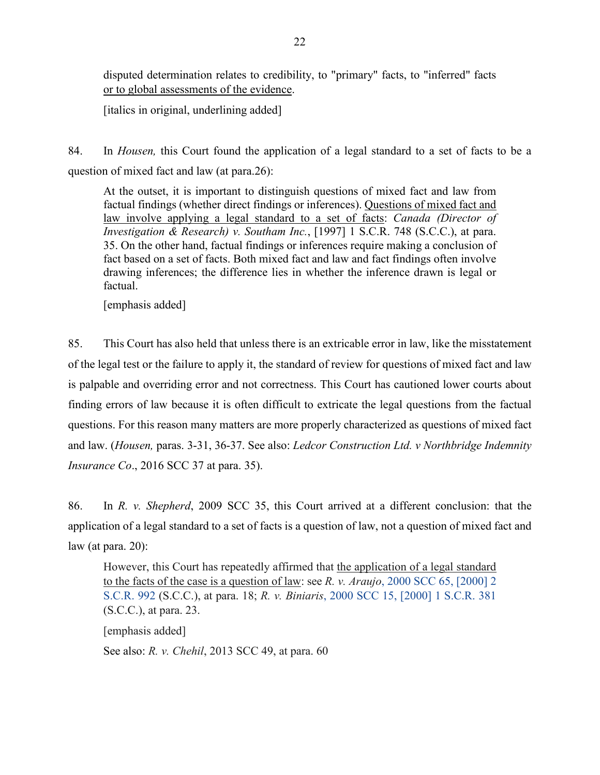disputed determination relates to credibility, to "primary" facts, to "inferred" facts or to global assessments of the evidence.

[italics in original, underlining added]

84. In *Housen,* this Court found the application of a legal standard to a set of facts to be a question of mixed fact and law (at para.26):

At the outset, it is important to distinguish questions of mixed fact and law from factual findings (whether direct findings or inferences). Questions of mixed fact and law involve applying a legal standard to a set of facts: *Canada (Director of Investigation & Research) v. Southam Inc.*[, \[1997\] 1 S.C.R. 748](https://nextcanada.westlaw.com/Link/Document/FullText?findType=Y&pubNum=6407&serNum=1997410839&originationContext=document&transitionType=DocumentItem&contextData=(sc.Default)) (S.C.C.), at para. 35. On the other hand, factual findings or inferences require making a conclusion of fact based on a set of facts. Both mixed fact and law and fact findings often involve drawing inferences; the difference lies in whether the inference drawn is legal or factual.

[emphasis added]

85. This Court has also held that unless there is an extricable error in law, like the misstatement of the legal test or the failure to apply it, the standard of review for questions of mixed fact and law is palpable and overriding error and not correctness. This Court has cautioned lower courts about finding errors of law because it is often difficult to extricate the legal questions from the factual questions. For this reason many matters are more properly characterized as questions of mixed fact and law. (*Housen,* paras. 3-31, 36-37. See also: *Ledcor Construction Ltd. v Northbridge Indemnity Insurance Co*., 2016 SCC 37 at para. 35).

86. In *R. v. Shepherd*, 2009 SCC 35, this Court arrived at a different conclusion: that the application of a legal standard to a set of facts is a question of law, not a question of mixed fact and law (at para. 20):

However, this Court has repeatedly affirmed that the application of a legal standard to the facts of the case is a question of law: see *R. v. Araujo*[, 2000 SCC 65, \[2000\] 2](https://nextcanada.westlaw.com/Link/Document/FullText?findType=Y&pubNum=6407&serNum=2000668274&originationContext=document&transitionType=DocumentItem&contextData=(sc.DocLink))  [S.C.R. 992](https://nextcanada.westlaw.com/Link/Document/FullText?findType=Y&pubNum=6407&serNum=2000668274&originationContext=document&transitionType=DocumentItem&contextData=(sc.DocLink)) (S.C.C.), at para. 18; *R. v. Biniaris*[, 2000 SCC 15, \[2000\] 1 S.C.R.](https://nextcanada.westlaw.com/Link/Document/FullText?findType=Y&pubNum=6407&serNum=2000667318&originationContext=document&transitionType=DocumentItem&contextData=(sc.DocLink)) 381 (S.C.C.), at para. 23.

[emphasis added]

See also: *R. v. Chehil*, 2013 SCC 49, at para. 60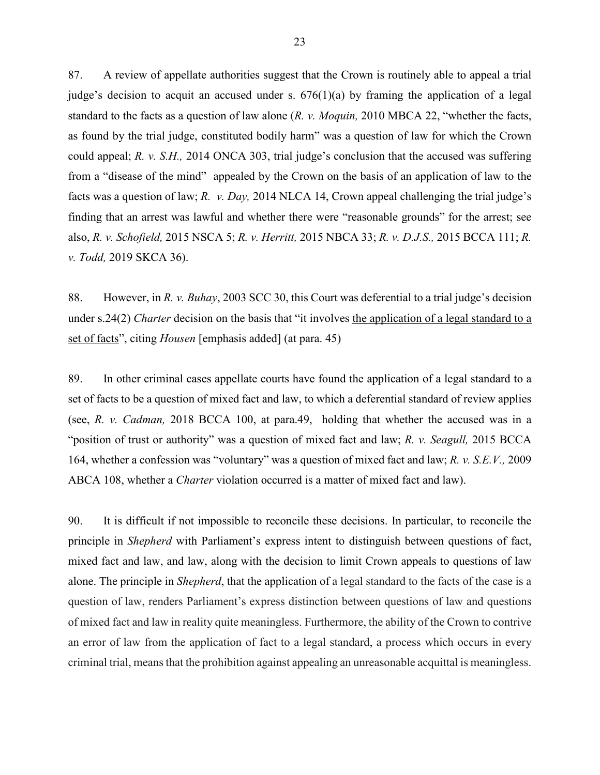87. A review of appellate authorities suggest that the Crown is routinely able to appeal a trial judge's decision to acquit an accused under s.  $676(1)(a)$  by framing the application of a legal standard to the facts as a question of law alone (*R. v. Moquin,* 2010 MBCA 22, "whether the facts, as found by the trial judge, constituted bodily harm" was a question of law for which the Crown could appeal; *R. v. S.H.,* 2014 ONCA 303, trial judge's conclusion that the accused was suffering from a "disease of the mind" appealed by the Crown on the basis of an application of law to the facts was a question of law; *R. v. Day,* 2014 NLCA 14, Crown appeal challenging the trial judge's finding that an arrest was lawful and whether there were "reasonable grounds" for the arrest; see also, *R. v. Schofield,* 2015 NSCA 5; *R. v. Herritt,* 2015 NBCA 33; *R. v. D.J.S.,* 2015 BCCA 111; *R. v. Todd,* 2019 SKCA 36).

88. However, in *R. v. Buhay*, 2003 SCC 30, this Court was deferential to a trial judge's decision under s.24(2) *Charter* decision on the basis that "it involves the application of a legal standard to a set of facts", citing *Housen* [emphasis added] (at para. 45)

89. In other criminal cases appellate courts have found the application of a legal standard to a set of facts to be a question of mixed fact and law, to which a deferential standard of review applies (see, *R. v. Cadman,* 2018 BCCA 100, at para.49, holding that whether the accused was in a "position of trust or authority" was a question of mixed fact and law; *R. v. Seagull,* 2015 BCCA 164, whether a confession was "voluntary" was a question of mixed fact and law; *R. v. S.E.V.,* 2009 ABCA 108, whether a *Charter* violation occurred is a matter of mixed fact and law).

90. It is difficult if not impossible to reconcile these decisions. In particular, to reconcile the principle in *Shepherd* with Parliament's express intent to distinguish between questions of fact, mixed fact and law, and law, along with the decision to limit Crown appeals to questions of law alone. The principle in *Shepherd*, that the application of a legal standard to the facts of the case is a question of law, renders Parliament's express distinction between questions of law and questions of mixed fact and law in reality quite meaningless. Furthermore, the ability of the Crown to contrive an error of law from the application of fact to a legal standard, a process which occurs in every criminal trial, means that the prohibition against appealing an unreasonable acquittal is meaningless.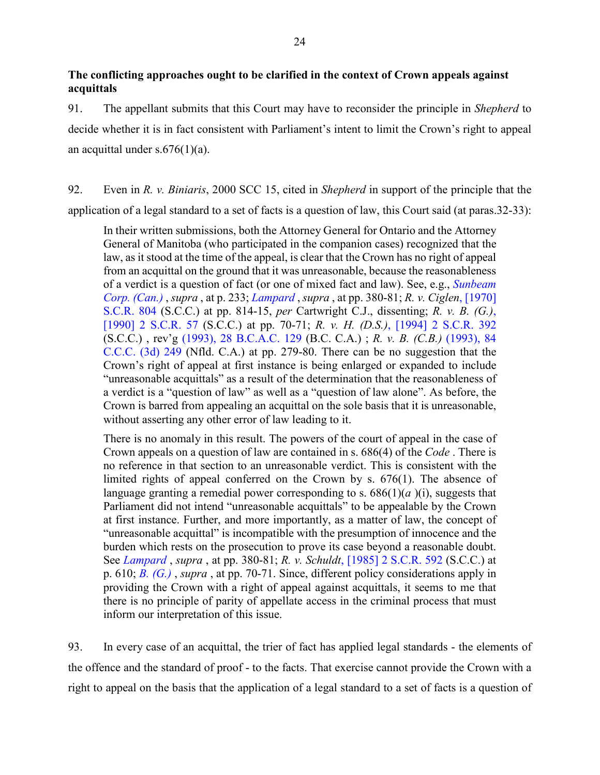## **The conflicting approaches ought to be clarified in the context of Crown appeals against acquittals**

91. The appellant submits that this Court may have to reconsider the principle in *Shepherd* to decide whether it is in fact consistent with Parliament's intent to limit the Crown's right to appeal an acquittal under  $s.676(1)(a)$ .

92. Even in *R. v. Biniaris*, 2000 SCC 15, cited in *Shepherd* in support of the principle that the application of a legal standard to a set of facts is a question of law, this Court said (at paras.32-33):

In their written submissions, both the Attorney General for Ontario and the Attorney General of Manitoba (who participated in the companion cases) recognized that the law, as it stood at the time of the appeal, is clear that the Crown has no right of appeal from an acquittal on the ground that it was unreasonable, because the reasonableness of a verdict is a question of fact (or one of mixed fact and law). See, e.g., *[Sunbeam](http://nextcanada.westlaw.com/Link/Document/FullText?findType=Y&pubNum=6407&serNum=1968018050&originationContext=document&transitionType=DocumentItem&vr=3.0&rs=cblt1.0&contextData=(sc.DocLink))  [Corp. \(Can.\)](http://nextcanada.westlaw.com/Link/Document/FullText?findType=Y&pubNum=6407&serNum=1968018050&originationContext=document&transitionType=DocumentItem&vr=3.0&rs=cblt1.0&contextData=(sc.DocLink))* , *supra* , at p. 233; *[Lampard](http://nextcanada.westlaw.com/Link/Document/FullText?findType=Y&pubNum=6407&serNum=1969082597&originationContext=document&transitionType=DocumentItem&vr=3.0&rs=cblt1.0&contextData=(sc.DocLink))* , *supra* , at pp. 380-81; *R. v. Ciglen*[, \[1970\]](http://nextcanada.westlaw.com/Link/Document/FullText?findType=Y&pubNum=6407&serNum=1970089683&originationContext=document&transitionType=DocumentItem&vr=3.0&rs=cblt1.0&contextData=(sc.DocLink))  [S.C.R. 804](http://nextcanada.westlaw.com/Link/Document/FullText?findType=Y&pubNum=6407&serNum=1970089683&originationContext=document&transitionType=DocumentItem&vr=3.0&rs=cblt1.0&contextData=(sc.DocLink)) (S.C.C.) at pp. 814-15, *per* Cartwright C.J., dissenting; *R. v. B. (G.)*[,](http://nextcanada.westlaw.com/Link/Document/FullText?findType=Y&pubNum=6407&serNum=1990318357&originationContext=document&transitionType=DocumentItem&vr=3.0&rs=cblt1.0&contextData=(sc.DocLink))  [\[1990\] 2 S.C.R. 57](http://nextcanada.westlaw.com/Link/Document/FullText?findType=Y&pubNum=6407&serNum=1990318357&originationContext=document&transitionType=DocumentItem&vr=3.0&rs=cblt1.0&contextData=(sc.DocLink)) (S.C.C.) at pp. 70-71; *R. v. H. (D.S.)*, [\[1994\] 2 S.C.R. 392](http://nextcanada.westlaw.com/Link/Document/FullText?findType=Y&pubNum=6407&serNum=1994408615&originationContext=document&transitionType=DocumentItem&vr=3.0&rs=cblt1.0&contextData=(sc.DocLink)) (S.C.C.) , rev'g [\(1993\), 28 B.C.A.C. 129](http://nextcanada.westlaw.com/Link/Document/FullText?findType=Y&pubNum=6407&serNum=1993395521&originationContext=document&transitionType=DocumentItem&vr=3.0&rs=cblt1.0&contextData=(sc.DocLink)) (B.C. C.A.) ; *R. v. B. (C.B.)* [\(1993\), 84](http://nextcanada.westlaw.com/Link/Document/FullText?findType=Y&pubNum=6407&serNum=1993392322&originationContext=document&transitionType=DocumentItem&vr=3.0&rs=cblt1.0&contextData=(sc.DocLink))  [C.C.C. \(3d\) 249](http://nextcanada.westlaw.com/Link/Document/FullText?findType=Y&pubNum=6407&serNum=1993392322&originationContext=document&transitionType=DocumentItem&vr=3.0&rs=cblt1.0&contextData=(sc.DocLink)) (Nfld. C.A.) at pp. 279-80. There can be no suggestion that the Crown's right of appeal at first instance is being enlarged or expanded to include "unreasonable acquittals" as a result of the determination that the reasonableness of a verdict is a "question of law" as well as a "question of law alone". As before, the Crown is barred from appealing an acquittal on the sole basis that it is unreasonable, without asserting any other error of law leading to it.

There is no anomaly in this result. The powers of the court of appeal in the case of Crown appeals on a question of law are contained in s. 686(4) of the *Code* . There is no reference in that section to an unreasonable verdict. This is consistent with the limited rights of appeal conferred on the Crown by s. 676(1). The absence of language granting a remedial power corresponding to s.  $686(1)(a)$  (i), suggests that Parliament did not intend "unreasonable acquittals" to be appealable by the Crown at first instance. Further, and more importantly, as a matter of law, the concept of "unreasonable acquittal" is incompatible with the presumption of innocence and the burden which rests on the prosecution to prove its case beyond a reasonable doubt. See *[Lampard](http://nextcanada.westlaw.com/Link/Document/FullText?findType=Y&pubNum=6407&serNum=1969082597&originationContext=document&transitionType=DocumentItem&vr=3.0&rs=cblt1.0&contextData=(sc.DocLink))* , *supra* , at pp. 380-81; *R. v. Schuldt*[, \[1985\] 2 S.C.R. 592](http://nextcanada.westlaw.com/Link/Document/FullText?findType=Y&pubNum=6407&serNum=1985194333&originationContext=document&transitionType=DocumentItem&vr=3.0&rs=cblt1.0&contextData=(sc.DocLink)) (S.C.C.) at p. 610; *[B. \(G.\)](http://nextcanada.westlaw.com/Link/Document/FullText?findType=Y&pubNum=6407&serNum=1990318357&originationContext=document&transitionType=DocumentItem&vr=3.0&rs=cblt1.0&contextData=(sc.DocLink))* , *supra* , at pp. 70-71. Since, different policy considerations apply in providing the Crown with a right of appeal against acquittals, it seems to me that there is no principle of parity of appellate access in the criminal process that must inform our interpretation of this issue.

93. In every case of an acquittal, the trier of fact has applied legal standards - the elements of the offence and the standard of proof - to the facts. That exercise cannot provide the Crown with a right to appeal on the basis that the application of a legal standard to a set of facts is a question of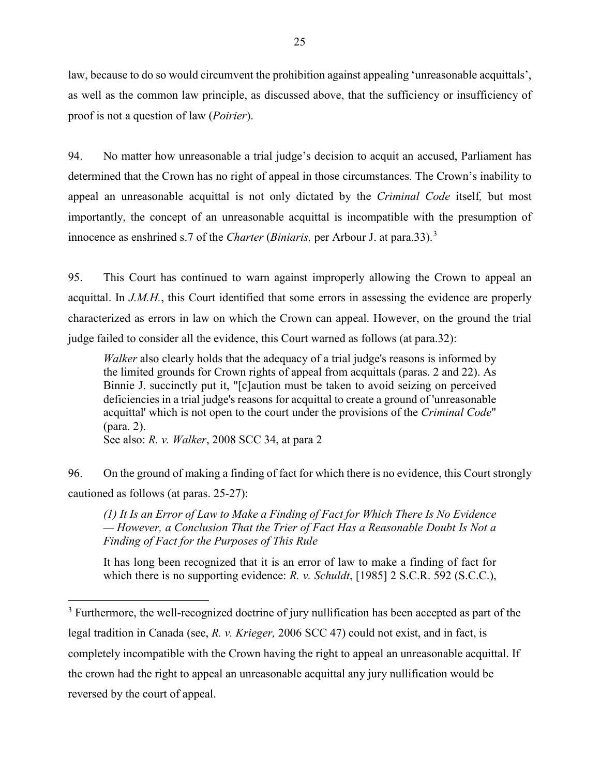law, because to do so would circumvent the prohibition against appealing 'unreasonable acquittals', as well as the common law principle, as discussed above, that the sufficiency or insufficiency of proof is not a question of law (*Poirier*).

94. No matter how unreasonable a trial judge's decision to acquit an accused, Parliament has determined that the Crown has no right of appeal in those circumstances. The Crown's inability to appeal an unreasonable acquittal is not only dictated by the *Criminal Code* itself*,* but most importantly, the concept of an unreasonable acquittal is incompatible with the presumption of innocence as enshrined s.7 of the *Charter* (*Biniaris,* per Arbour J. at para.33).[3](#page-26-0)

95. This Court has continued to warn against improperly allowing the Crown to appeal an acquittal. In *J.M.H.*, this Court identified that some errors in assessing the evidence are properly characterized as errors in law on which the Crown can appeal. However, on the ground the trial judge failed to consider all the evidence, this Court warned as follows (at para.32):

*Walker* also clearly holds that the adequacy of a trial judge's reasons is informed by the limited grounds for Crown rights of appeal from acquittals (paras. 2 and 22). As Binnie J. succinctly put it, "[c]aution must be taken to avoid seizing on perceived deficiencies in a trial judge's reasons for acquittal to create a ground of 'unreasonable acquittal' which is not open to the court under the provisions of the *Criminal Code*" (para. 2).

See also: *R. v. Walker*, 2008 SCC 34, at para 2

 $\overline{a}$ 

96. On the ground of making a finding of fact for which there is no evidence, this Court strongly cautioned as follows (at paras. 25-27):

*(1) It Is an Error of Law to Make a Finding of Fact for Which There Is No Evidence — However, a Conclusion That the Trier of Fact Has a Reasonable Doubt Is Not a Finding of Fact for the Purposes of This Rule*

It has long been recognized that it is an error of law to make a finding of fact for which there is no supporting evidence: *R. v. Schuldt*[, \[1985\] 2 S.C.R. 592](https://nextcanada.westlaw.com/Link/Document/FullText?findType=Y&pubNum=6407&serNum=1985194333&originationContext=document&transitionType=DocumentItem&contextData=(sc.UserEnteredCitation)) (S.C.C.),

<span id="page-26-0"></span> $3$  Furthermore, the well-recognized doctrine of jury nullification has been accepted as part of the legal tradition in Canada (see, *R. v. Krieger,* 2006 SCC 47) could not exist, and in fact, is completely incompatible with the Crown having the right to appeal an unreasonable acquittal. If the crown had the right to appeal an unreasonable acquittal any jury nullification would be reversed by the court of appeal.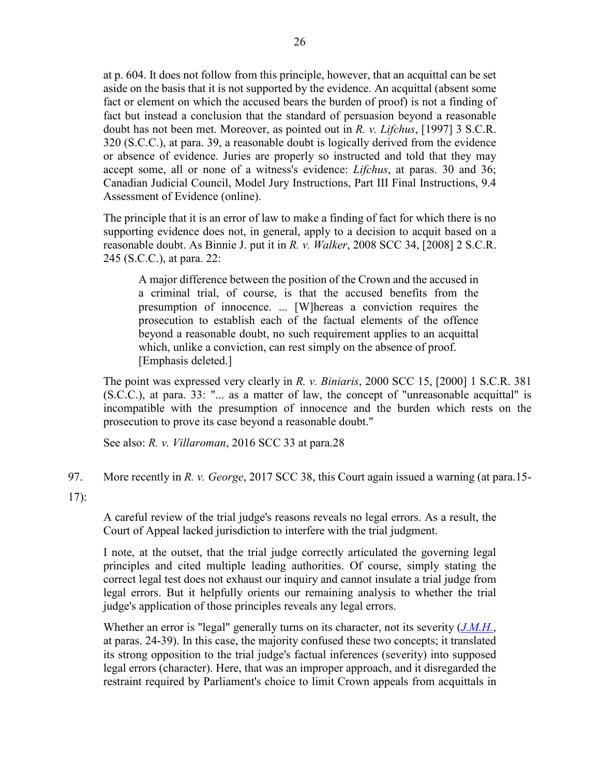at p. 604. It does not follow from this principle, however, that an acquittal can be set aside on the basis that it is not supported by the evidence. An acquittal (absent some fact or element on which the accused bears the burden of proof) is not a finding of fact but instead a conclusion that the standard of persuasion beyond a reasonable doubt has not been met. Moreover, as pointed out in *R. v. Lifchus*[, \[1997\] 3 S.C.R.](https://nextcanada.westlaw.com/Link/Document/FullText?findType=Y&pubNum=6407&serNum=1997417177&originationContext=document&transitionType=DocumentItem&contextData=(sc.UserEnteredCitation))  [320](https://nextcanada.westlaw.com/Link/Document/FullText?findType=Y&pubNum=6407&serNum=1997417177&originationContext=document&transitionType=DocumentItem&contextData=(sc.UserEnteredCitation)) (S.C.C.), at para. 39, a reasonable doubt is logically derived from the evidence or absence of evidence. Juries are properly so instructed and told that they may accept some, all or none of a witness's evidence: *[Lifchus](https://nextcanada.westlaw.com/Link/Document/FullText?findType=Y&pubNum=6407&serNum=1997417177&originationContext=document&transitionType=DocumentItem&contextData=(sc.UserEnteredCitation))*, at paras. 30 and 36; Canadian Judicial Council, Model Jury Instructions, Part III Final Instructions, 9.4 Assessment of Evidence (online).

The principle that it is an error of law to make a finding of fact for which there is no supporting evidence does not, in general, apply to a decision to acquit based on a reasonable doubt. As Binnie J. put it in *R. v. Walker*[, 2008 SCC 34, \[2008\] 2 S.C.R.](https://nextcanada.westlaw.com/Link/Document/FullText?findType=Y&pubNum=6407&serNum=2016257775&originationContext=document&transitionType=DocumentItem&contextData=(sc.UserEnteredCitation))  [245](https://nextcanada.westlaw.com/Link/Document/FullText?findType=Y&pubNum=6407&serNum=2016257775&originationContext=document&transitionType=DocumentItem&contextData=(sc.UserEnteredCitation)) (S.C.C.), at para. 22:

A major difference between the position of the Crown and the accused in a criminal trial, of course, is that the accused benefits from the presumption of innocence. ... [W]hereas a conviction requires the prosecution to establish each of the factual elements of the offence beyond a reasonable doubt, no such requirement applies to an acquittal which, unlike a conviction, can rest simply on the absence of proof. [Emphasis deleted.]

The point was expressed very clearly in *R. v. Biniaris*[, 2000 SCC 15, \[2000\] 1 S.C.R. 381](https://nextcanada.westlaw.com/Link/Document/FullText?findType=Y&pubNum=6407&serNum=2000667318&originationContext=document&transitionType=DocumentItem&contextData=(sc.UserEnteredCitation)) (S.C.C.), at para. 33: "... as a matter of law, the concept of "unreasonable acquittal" is incompatible with the presumption of innocence and the burden which rests on the prosecution to prove its case beyond a reasonable doubt."

See also: *R. v. Villaroman*, 2016 SCC 33 at para.28

97. More recently in *R. v. George*, 2017 SCC 38, this Court again issued a warning (at para.15-

17):

A careful review of the trial judge's reasons reveals no legal errors. As a result, the Court of Appeal lacked jurisdiction to interfere with the trial judgment.

I note, at the outset, that the trial judge correctly articulated the governing legal principles and cited multiple leading authorities. Of course, simply stating the correct legal test does not exhaust our inquiry and cannot insulate a trial judge from legal errors. But it helpfully orients our remaining analysis to whether the trial judge's application of those principles reveals any legal errors.

Whether an error is "legal" generally turns on its character, not its severity (*[J.M.H.](https://nextcanada.westlaw.com/Link/Document/FullText?findType=Y&pubNum=6407&serNum=2026285838&originationContext=document&transitionType=DocumentItem&contextData=(sc.Default))*, at paras. 24-39). In this case, the majority confused these two concepts; it translated its strong opposition to the trial judge's factual inferences (severity) into supposed legal errors (character). Here, that was an improper approach, and it disregarded the restraint required by Parliament's choice to limit Crown appeals from acquittals in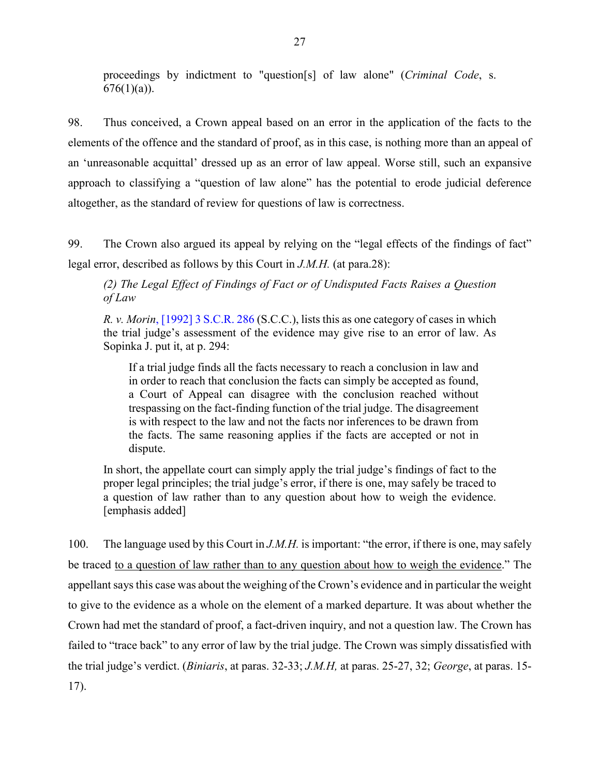proceedings by indictment to "question[s] of law alone" (*Criminal Code*, s.  $676(1)(a)$ ).

98. Thus conceived, a Crown appeal based on an error in the application of the facts to the elements of the offence and the standard of proof, as in this case, is nothing more than an appeal of an 'unreasonable acquittal' dressed up as an error of law appeal. Worse still, such an expansive approach to classifying a "question of law alone" has the potential to erode judicial deference altogether, as the standard of review for questions of law is correctness.

99. The Crown also argued its appeal by relying on the "legal effects of the findings of fact" legal error, described as follows by this Court in *J.M.H.* (at para.28):

*(2) The Legal Effect of Findings of Fact or of Undisputed Facts Raises a Question of Law*

*R. v. Morin*[, \[1992\] 3 S.C.R. 286](http://nextcanada.westlaw.com/Link/Document/FullText?findType=Y&pubNum=6407&serNum=1992370584&originationContext=document&transitionType=DocumentItem&vr=3.0&rs=cblt1.0&contextData=(sc.UserEnteredCitation)) (S.C.C.), lists this as one category of cases in which the trial judge's assessment of the evidence may give rise to an error of law. As Sopinka J. put it, at p. 294:

If a trial judge finds all the facts necessary to reach a conclusion in law and in order to reach that conclusion the facts can simply be accepted as found, a Court of Appeal can disagree with the conclusion reached without trespassing on the fact-finding function of the trial judge. The disagreement is with respect to the law and not the facts nor inferences to be drawn from the facts. The same reasoning applies if the facts are accepted or not in dispute.

In short, the appellate court can simply apply the trial judge's findings of fact to the proper legal principles; the trial judge's error, if there is one, may safely be traced to a question of law rather than to any question about how to weigh the evidence. [emphasis added]

100. The language used by this Court in *J.M.H.* is important: "the error, if there is one, may safely be traced to a question of law rather than to any question about how to weigh the evidence." The appellant says this case was about the weighing of the Crown's evidence and in particular the weight to give to the evidence as a whole on the element of a marked departure. It was about whether the Crown had met the standard of proof, a fact-driven inquiry, and not a question law. The Crown has failed to "trace back" to any error of law by the trial judge. The Crown was simply dissatisfied with the trial judge's verdict. (*Biniaris*, at paras. 32-33; *J.M.H,* at paras. 25-27, 32; *George*, at paras. 15- 17).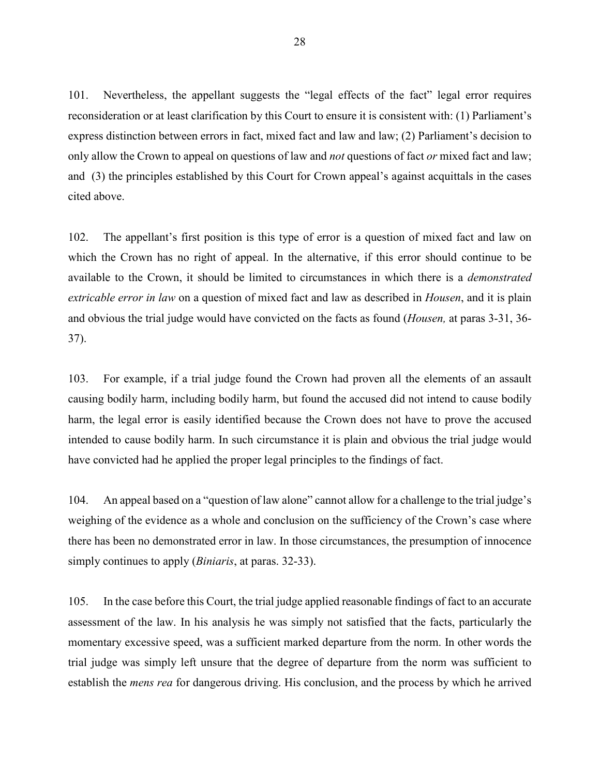101. Nevertheless, the appellant suggests the "legal effects of the fact" legal error requires reconsideration or at least clarification by this Court to ensure it is consistent with: (1) Parliament's express distinction between errors in fact, mixed fact and law and law; (2) Parliament's decision to only allow the Crown to appeal on questions of law and *not* questions of fact *or* mixed fact and law; and (3) the principles established by this Court for Crown appeal's against acquittals in the cases cited above.

102. The appellant's first position is this type of error is a question of mixed fact and law on which the Crown has no right of appeal. In the alternative, if this error should continue to be available to the Crown, it should be limited to circumstances in which there is a *demonstrated extricable error in law* on a question of mixed fact and law as described in *Housen*, and it is plain and obvious the trial judge would have convicted on the facts as found (*Housen,* at paras 3-31, 36- 37).

103. For example, if a trial judge found the Crown had proven all the elements of an assault causing bodily harm, including bodily harm, but found the accused did not intend to cause bodily harm, the legal error is easily identified because the Crown does not have to prove the accused intended to cause bodily harm. In such circumstance it is plain and obvious the trial judge would have convicted had he applied the proper legal principles to the findings of fact.

104. An appeal based on a "question of law alone" cannot allow for a challenge to the trial judge's weighing of the evidence as a whole and conclusion on the sufficiency of the Crown's case where there has been no demonstrated error in law. In those circumstances, the presumption of innocence simply continues to apply (*Biniaris*, at paras. 32-33).

105. In the case before this Court, the trial judge applied reasonable findings of fact to an accurate assessment of the law. In his analysis he was simply not satisfied that the facts, particularly the momentary excessive speed, was a sufficient marked departure from the norm. In other words the trial judge was simply left unsure that the degree of departure from the norm was sufficient to establish the *mens rea* for dangerous driving. His conclusion, and the process by which he arrived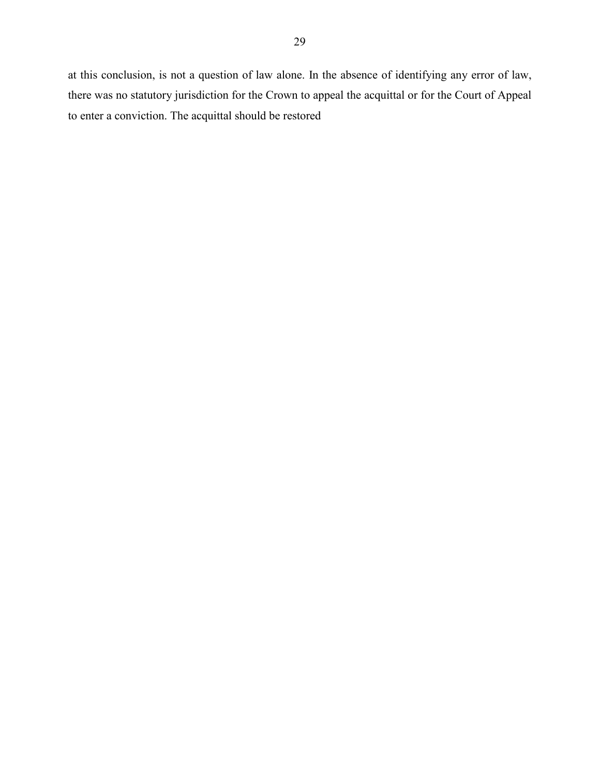at this conclusion, is not a question of law alone. In the absence of identifying any error of law, there was no statutory jurisdiction for the Crown to appeal the acquittal or for the Court of Appeal to enter a conviction. The acquittal should be restored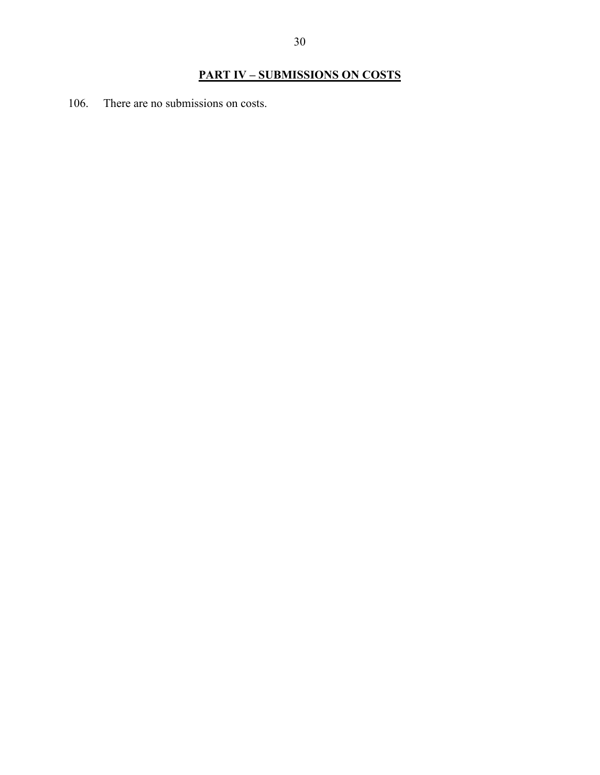# **PART IV – SUBMISSIONS ON COSTS**

106. There are no submissions on costs.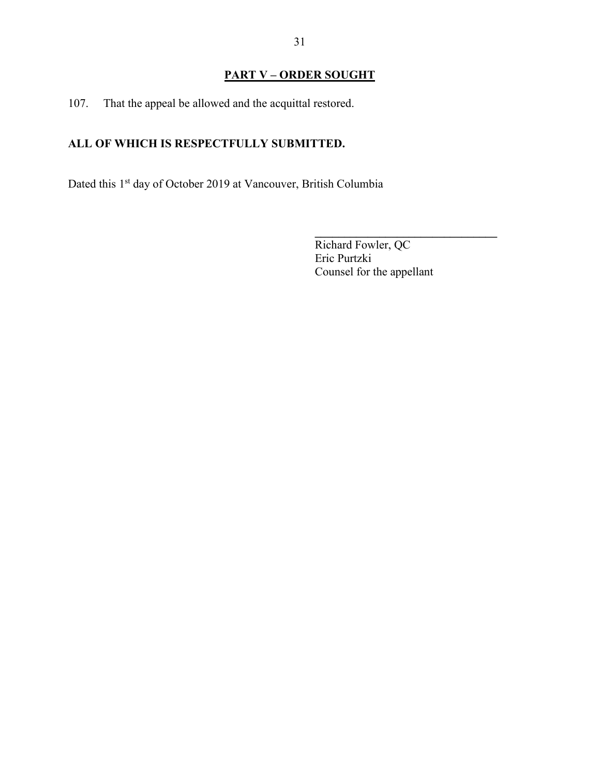# **PART V – ORDER SOUGHT**

107. That the appeal be allowed and the acquittal restored.

# **ALL OF WHICH IS RESPECTFULLY SUBMITTED.**

Dated this 1<sup>st</sup> day of October 2019 at Vancouver, British Columbia

Richard Fowler, QC Eric Purtzki Counsel for the appellant

**\_\_\_\_\_\_\_\_\_\_\_\_\_\_\_\_\_\_\_\_\_\_\_\_\_\_\_\_\_\_\_**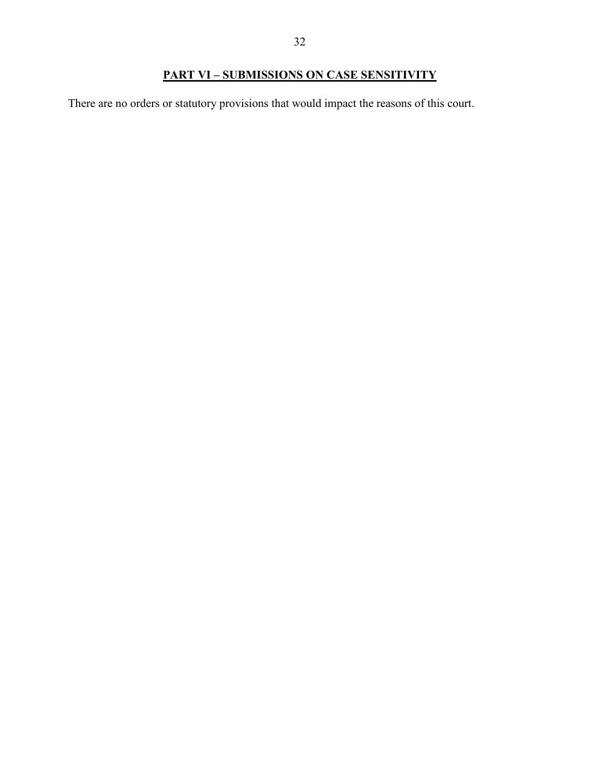# **PART VI – SUBMISSIONS ON CASE SENSITIVITY**

There are no orders or statutory provisions that would impact the reasons of this court.